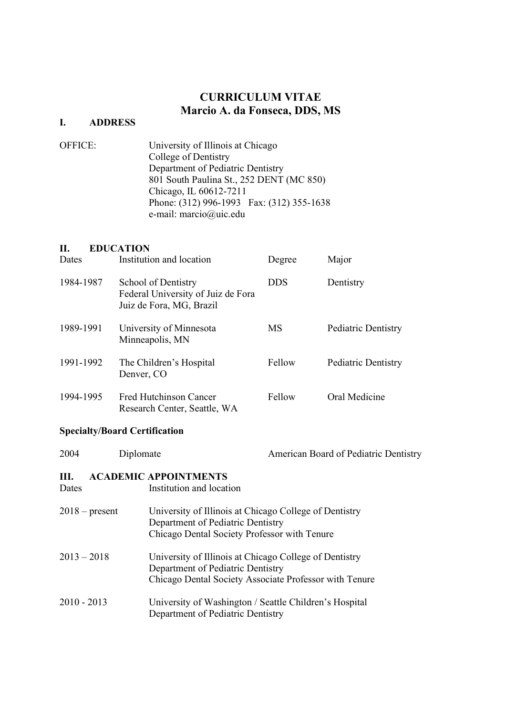# CURRICULUM VITAE Marcio A. da Fonseca, DDS, MS

# I. ADDRESS

| <b>OFFICE:</b> | University of Illinois at Chicago         |
|----------------|-------------------------------------------|
|                | College of Dentistry                      |
|                | Department of Pediatric Dentistry         |
|                | 801 South Paulina St., 252 DENT (MC 850)  |
|                | Chicago, IL 60612-7211                    |
|                | Phone: (312) 996-1993 Fax: (312) 355-1638 |
|                | e-mail: marcio@uic.edu                    |

## II. EDUCATION

| Dates     | Institution and location                                                              | Degree     | Major               |
|-----------|---------------------------------------------------------------------------------------|------------|---------------------|
| 1984-1987 | School of Dentistry<br>Federal University of Juiz de Fora<br>Juiz de Fora, MG, Brazil | <b>DDS</b> | Dentistry           |
| 1989-1991 | University of Minnesota<br>Minneapolis, MN                                            | MS         | Pediatric Dentistry |
| 1991-1992 | The Children's Hospital<br>Denver, CO                                                 | Fellow     | Pediatric Dentistry |
| 1994-1995 | Fred Hutchinson Cancer<br>Research Center, Seattle, WA                                | Fellow     | Oral Medicine       |

# Specialty/Board Certification

| 2004          | Diplomate        | American Board of Pediatric Dentistry                                                                                                                 |
|---------------|------------------|-------------------------------------------------------------------------------------------------------------------------------------------------------|
| Ш.<br>Dates   |                  | <b>ACADEMIC APPOINTMENTS</b><br>Institution and location                                                                                              |
|               | $2018$ – present | University of Illinois at Chicago College of Dentistry<br>Department of Pediatric Dentistry<br>Chicago Dental Society Professor with Tenure           |
| $2013 - 2018$ |                  | University of Illinois at Chicago College of Dentistry<br>Department of Pediatric Dentistry<br>Chicago Dental Society Associate Professor with Tenure |
| $2010 - 2013$ |                  | University of Washington / Seattle Children's Hospital<br>Department of Pediatric Dentistry                                                           |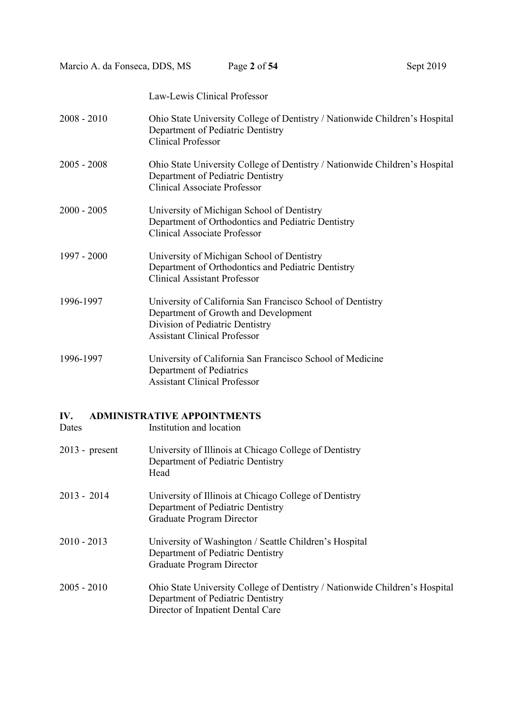Marcio A. da Fonseca, DDS, MS Page 2 of 54 Sept 2019

Law-Lewis Clinical Professor

| $2008 - 2010$    | Ohio State University College of Dentistry / Nationwide Children's Hospital<br>Department of Pediatric Dentistry<br><b>Clinical Professor</b>                                |
|------------------|------------------------------------------------------------------------------------------------------------------------------------------------------------------------------|
| $2005 - 2008$    | Ohio State University College of Dentistry / Nationwide Children's Hospital<br>Department of Pediatric Dentistry<br><b>Clinical Associate Professor</b>                      |
| $2000 - 2005$    | University of Michigan School of Dentistry<br>Department of Orthodontics and Pediatric Dentistry<br><b>Clinical Associate Professor</b>                                      |
| 1997 - 2000      | University of Michigan School of Dentistry<br>Department of Orthodontics and Pediatric Dentistry<br><b>Clinical Assistant Professor</b>                                      |
| 1996-1997        | University of California San Francisco School of Dentistry<br>Department of Growth and Development<br>Division of Pediatric Dentistry<br><b>Assistant Clinical Professor</b> |
| 1996-1997        | University of California San Francisco School of Medicine<br>Department of Pediatrics<br><b>Assistant Clinical Professor</b>                                                 |
| IV.<br>Dates     | <b>ADMINISTRATIVE APPOINTMENTS</b><br>Institution and location                                                                                                               |
| $2013$ - present | University of Illinois at Chicago College of Dentistry<br>Department of Pediatric Dentistry<br>Head                                                                          |
| 2013 - 2014      | University of Illinois at Chicago College of Dentistry<br>Department of Pediatric Dentistry<br>Graduate Program Director                                                     |
| $2010 - 2013$    | University of Washington / Seattle Children's Hospital<br>Department of Pediatric Dentistry<br>Graduate Program Director                                                     |
| $2005 - 2010$    | Ohio State University College of Dentistry / Nationwide Children's Hospital<br>Department of Pediatric Dentistry<br>Director of Inpatient Dental Care                        |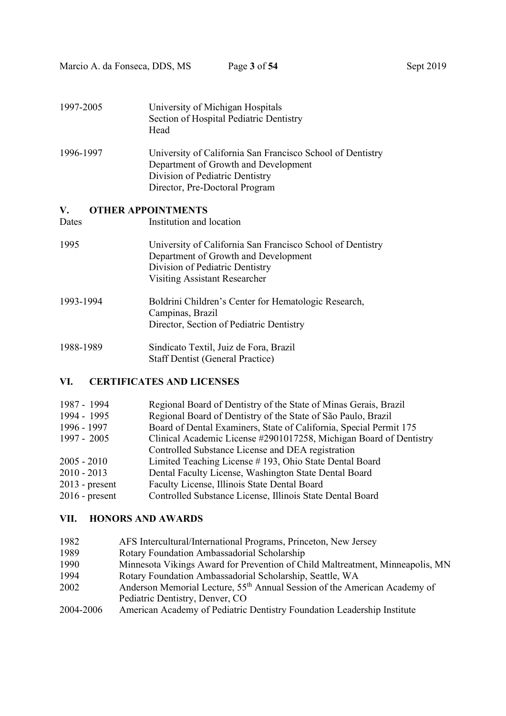| 1997-2005 | University of Michigan Hospitals<br>Section of Hospital Pediatric Dentistry<br>Head                                                                                     |
|-----------|-------------------------------------------------------------------------------------------------------------------------------------------------------------------------|
| 1996-1997 | University of California San Francisco School of Dentistry<br>Department of Growth and Development<br>Division of Pediatric Dentistry<br>Director, Pre-Doctoral Program |
| V.        | <b>OTHER APPOINTMENTS</b>                                                                                                                                               |
| Dates     | Institution and location                                                                                                                                                |
| 1995      | University of California San Francisco School of Dentistry<br>Department of Growth and Development<br>Division of Pediatric Dentistry<br>Visiting Assistant Researcher  |
| 1993-1994 | Boldrini Children's Center for Hematologic Research,<br>Campinas, Brazil<br>Director, Section of Pediatric Dentistry                                                    |
| 1988-1989 | Sindicato Textil, Juiz de Fora, Brazil                                                                                                                                  |

Staff Dentist (General Practice)

## VI. CERTIFICATES AND LICENSES

| 1987 - 1994      | Regional Board of Dentistry of the State of Minas Gerais, Brazil   |
|------------------|--------------------------------------------------------------------|
| 1994 - 1995      | Regional Board of Dentistry of the State of São Paulo, Brazil      |
| 1996 - 1997      | Board of Dental Examiners, State of California, Special Permit 175 |
| 1997 - 2005      | Clinical Academic License #2901017258, Michigan Board of Dentistry |
|                  | Controlled Substance License and DEA registration                  |
| 2005 - 2010      | Limited Teaching License #193, Ohio State Dental Board             |
| 2010 - 2013      | Dental Faculty License, Washington State Dental Board              |
| $2013$ - present | Faculty License, Illinois State Dental Board                       |
| $2016$ - present | Controlled Substance License, Illinois State Dental Board          |
|                  |                                                                    |

## VII. HONORS AND AWARDS

- 1982 AFS Intercultural/International Programs, Princeton, New Jersey
- 1989 Rotary Foundation Ambassadorial Scholarship
- 1990 Minnesota Vikings Award for Prevention of Child Maltreatment, Minneapolis, MN
- 1994 Rotary Foundation Ambassadorial Scholarship, Seattle, WA
- 2002 Anderson Memorial Lecture, 55th Annual Session of the American Academy of Pediatric Dentistry, Denver, CO
- 2004-2006 American Academy of Pediatric Dentistry Foundation Leadership Institute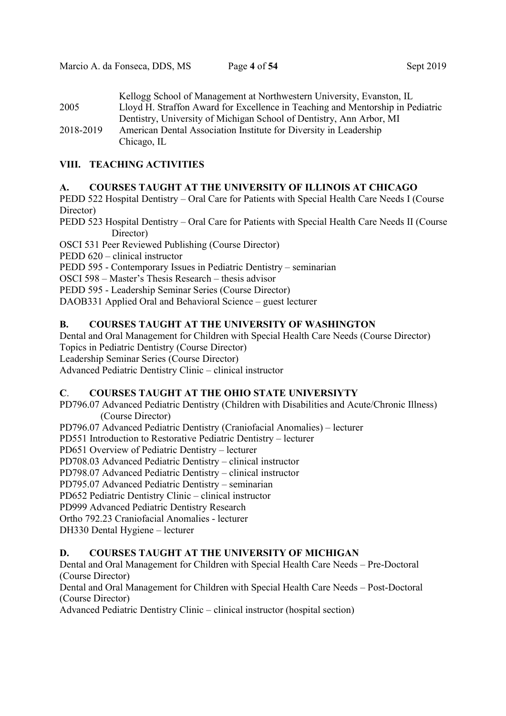Kellogg School of Management at Northwestern University, Evanston, IL 2005 Lloyd H. Straffon Award for Excellence in Teaching and Mentorship in Pediatric Dentistry, University of Michigan School of Dentistry, Ann Arbor, MI 2018-2019 American Dental Association Institute for Diversity in Leadership Chicago, IL

## VIII. TEACHING ACTIVITIES

## A. COURSES TAUGHT AT THE UNIVERSITY OF ILLINOIS AT CHICAGO

PEDD 522 Hospital Dentistry – Oral Care for Patients with Special Health Care Needs I (Course Director)

PEDD 523 Hospital Dentistry – Oral Care for Patients with Special Health Care Needs II (Course Director)

OSCI 531 Peer Reviewed Publishing (Course Director)

PEDD 620 – clinical instructor

PEDD 595 - Contemporary Issues in Pediatric Dentistry – seminarian

OSCI 598 – Master's Thesis Research – thesis advisor

PEDD 595 - Leadership Seminar Series (Course Director)

DAOB331 Applied Oral and Behavioral Science – guest lecturer

## B. COURSES TAUGHT AT THE UNIVERSITY OF WASHINGTON

Dental and Oral Management for Children with Special Health Care Needs (Course Director) Topics in Pediatric Dentistry (Course Director)

Leadership Seminar Series (Course Director)

Advanced Pediatric Dentistry Clinic – clinical instructor

## C. COURSES TAUGHT AT THE OHIO STATE UNIVERSIYTY

PD796.07 Advanced Pediatric Dentistry (Children with Disabilities and Acute/Chronic Illness) (Course Director)

PD796.07 Advanced Pediatric Dentistry (Craniofacial Anomalies) – lecturer

PD551 Introduction to Restorative Pediatric Dentistry – lecturer

PD651 Overview of Pediatric Dentistry – lecturer

PD708.03 Advanced Pediatric Dentistry – clinical instructor

PD798.07 Advanced Pediatric Dentistry – clinical instructor

PD795.07 Advanced Pediatric Dentistry – seminarian

PD652 Pediatric Dentistry Clinic – clinical instructor

PD999 Advanced Pediatric Dentistry Research

Ortho 792.23 Craniofacial Anomalies - lecturer

DH330 Dental Hygiene – lecturer

## D. COURSES TAUGHT AT THE UNIVERSITY OF MICHIGAN

Dental and Oral Management for Children with Special Health Care Needs – Pre-Doctoral (Course Director)

Dental and Oral Management for Children with Special Health Care Needs – Post-Doctoral (Course Director)

Advanced Pediatric Dentistry Clinic – clinical instructor (hospital section)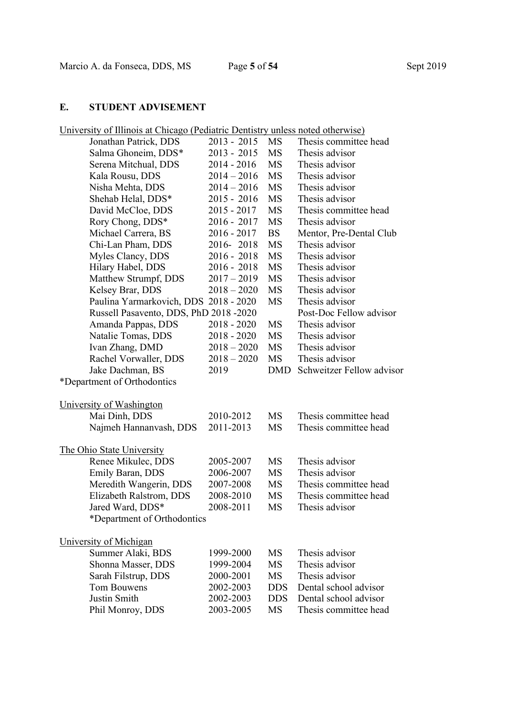# E. STUDENT ADVISEMENT

|  | University of Illinois at Chicago (Pediatric Dentistry unless noted otherwise) |
|--|--------------------------------------------------------------------------------|
|--|--------------------------------------------------------------------------------|

| $\frac{1}{2}$ of $\frac{1}{2}$ and $\frac{1}{2}$ and $\frac{1}{2}$ and $\frac{1}{2}$ | canally Dellingu |            | allows hoted other when   |
|--------------------------------------------------------------------------------------|------------------|------------|---------------------------|
| Jonathan Patrick, DDS                                                                | $2013 - 2015$    | MS         | Thesis committee head     |
| Salma Ghoneim, DDS*                                                                  | 2013 - 2015      | MS         | Thesis advisor            |
| Serena Mitchual, DDS                                                                 | 2014 - 2016      | MS         | Thesis advisor            |
| Kala Rousu, DDS                                                                      | $2014 - 2016$    | MS         | Thesis advisor            |
| Nisha Mehta, DDS                                                                     | $2014 - 2016$    | <b>MS</b>  | Thesis advisor            |
| Shehab Helal, DDS*                                                                   | $2015 - 2016$    | MS         | Thesis advisor            |
| David McCloe, DDS                                                                    | $2015 - 2017$    | MS         | Thesis committee head     |
| Rory Chong, DDS*                                                                     | $2016 - 2017$    | MS         | Thesis advisor            |
| Michael Carrera, BS                                                                  | $2016 - 2017$    | <b>BS</b>  | Mentor, Pre-Dental Club   |
| Chi-Lan Pham, DDS                                                                    | 2016-2018        | MS         | Thesis advisor            |
| Myles Clancy, DDS                                                                    | $2016 - 2018$    | MS         | Thesis advisor            |
| Hilary Habel, DDS                                                                    | $2016 - 2018$    | MS         | Thesis advisor            |
| Matthew Strumpf, DDS                                                                 | $2017 - 2019$    | <b>MS</b>  | Thesis advisor            |
| Kelsey Brar, DDS                                                                     | $2018 - 2020$    | MS         | Thesis advisor            |
| Paulina Yarmarkovich, DDS 2018 - 2020                                                |                  | MS         | Thesis advisor            |
| Russell Pasavento, DDS, PhD 2018 -2020                                               |                  |            | Post-Doc Fellow advisor   |
| Amanda Pappas, DDS                                                                   | $2018 - 2020$    | MS         | Thesis advisor            |
| Natalie Tomas, DDS                                                                   | $2018 - 2020$    | MS         | Thesis advisor            |
| Ivan Zhang, DMD                                                                      | $2018 - 2020$    | <b>MS</b>  | Thesis advisor            |
| Rachel Vorwaller, DDS                                                                | $2018 - 2020$    | MS         | Thesis advisor            |
| Jake Dachman, BS                                                                     | 2019             | DMD        | Schweitzer Fellow advisor |
| *Department of Orthodontics                                                          |                  |            |                           |
|                                                                                      |                  |            |                           |
| University of Washington                                                             |                  |            |                           |
| Mai Dinh, DDS                                                                        | 2010-2012        | MS         | Thesis committee head     |
| Najmeh Hannanvash, DDS                                                               | 2011-2013        | MS         | Thesis committee head     |
|                                                                                      |                  |            |                           |
| The Ohio State University                                                            |                  |            |                           |
| Renee Mikulec, DDS                                                                   | 2005-2007        | MS         | Thesis advisor            |
| Emily Baran, DDS                                                                     | 2006-2007        | MS         | Thesis advisor            |
| Meredith Wangerin, DDS                                                               | 2007-2008        | MS         | Thesis committee head     |
| Elizabeth Ralstrom, DDS                                                              | 2008-2010        | MS         | Thesis committee head     |
| Jared Ward, DDS*                                                                     | 2008-2011        | MS         | Thesis advisor            |
| *Department of Orthodontics                                                          |                  |            |                           |
|                                                                                      |                  |            |                           |
| University of Michigan                                                               |                  |            |                           |
| Summer Alaki, BDS                                                                    | 1999-2000        | MS         | Thesis advisor            |
| Shonna Masser, DDS                                                                   | 1999-2004        | <b>MS</b>  | Thesis advisor            |
| Sarah Filstrup, DDS                                                                  | 2000-2001        | MS         | Thesis advisor            |
| <b>Tom Bouwens</b>                                                                   | 2002-2003        | <b>DDS</b> | Dental school advisor     |
| Justin Smith                                                                         | 2002-2003        | <b>DDS</b> | Dental school advisor     |
| Phil Monroy, DDS                                                                     | 2003-2005        | MS         | Thesis committee head     |
|                                                                                      |                  |            |                           |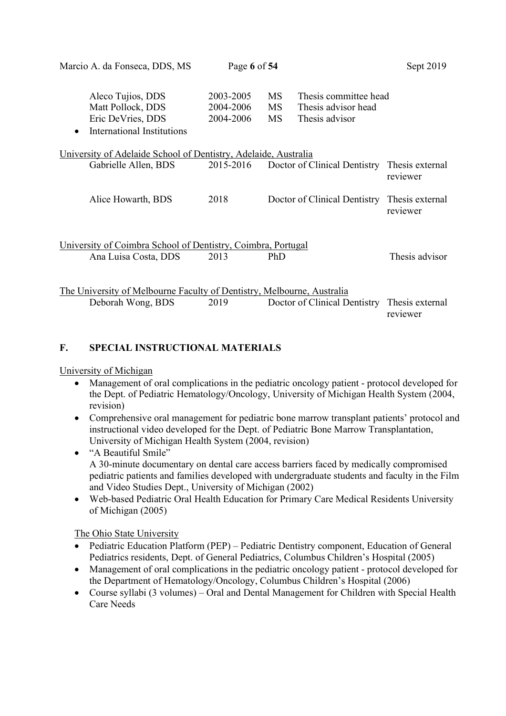|                                     |                                     |                                                                | Sept 2019                                                                                                                                                                                                                                                                                                 |
|-------------------------------------|-------------------------------------|----------------------------------------------------------------|-----------------------------------------------------------------------------------------------------------------------------------------------------------------------------------------------------------------------------------------------------------------------------------------------------------|
| 2003-2005<br>2004-2006<br>2004-2006 | <b>MS</b><br><b>MS</b><br><b>MS</b> | Thesis committee head<br>Thesis advisor head<br>Thesis advisor |                                                                                                                                                                                                                                                                                                           |
|                                     |                                     |                                                                |                                                                                                                                                                                                                                                                                                           |
| 2015-2016                           |                                     |                                                                | Thesis external<br>reviewer                                                                                                                                                                                                                                                                               |
| 2018                                |                                     |                                                                | Thesis external<br>reviewer                                                                                                                                                                                                                                                                               |
| 2013                                | PhD                                 |                                                                | Thesis advisor                                                                                                                                                                                                                                                                                            |
| 2019                                |                                     |                                                                | Thesis external<br>reviewer                                                                                                                                                                                                                                                                               |
|                                     |                                     | Page 6 of 54                                                   | University of Adelaide School of Dentistry, Adelaide, Australia<br>Doctor of Clinical Dentistry<br>Doctor of Clinical Dentistry<br>University of Coimbra School of Dentistry, Coimbra, Portugal<br>The University of Melbourne Faculty of Dentistry, Melbourne, Australia<br>Doctor of Clinical Dentistry |

## F. SPECIAL INSTRUCTIONAL MATERIALS

## University of Michigan

- Management of oral complications in the pediatric oncology patient protocol developed for the Dept. of Pediatric Hematology/Oncology, University of Michigan Health System (2004, revision)
- Comprehensive oral management for pediatric bone marrow transplant patients' protocol and instructional video developed for the Dept. of Pediatric Bone Marrow Transplantation, University of Michigan Health System (2004, revision)
- "A Beautiful Smile" A 30-minute documentary on dental care access barriers faced by medically compromised pediatric patients and families developed with undergraduate students and faculty in the Film and Video Studies Dept., University of Michigan (2002)
- Web-based Pediatric Oral Health Education for Primary Care Medical Residents University of Michigan (2005)

The Ohio State University

- Pediatric Education Platform (PEP) Pediatric Dentistry component, Education of General Pediatrics residents, Dept. of General Pediatrics, Columbus Children's Hospital (2005)
- Management of oral complications in the pediatric oncology patient protocol developed for the Department of Hematology/Oncology, Columbus Children's Hospital (2006)
- Course syllabi (3 volumes) Oral and Dental Management for Children with Special Health Care Needs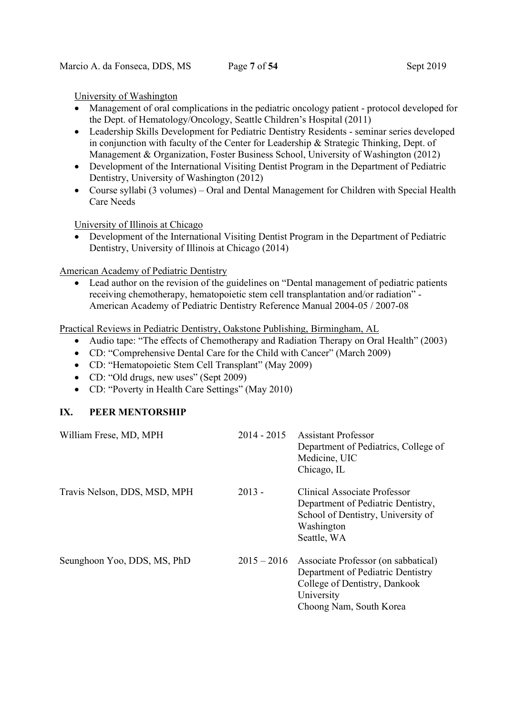## University of Washington

- Management of oral complications in the pediatric oncology patient protocol developed for the Dept. of Hematology/Oncology, Seattle Children's Hospital (2011)
- Leadership Skills Development for Pediatric Dentistry Residents seminar series developed in conjunction with faculty of the Center for Leadership & Strategic Thinking, Dept. of Management & Organization, Foster Business School, University of Washington (2012)
- Development of the International Visiting Dentist Program in the Department of Pediatric Dentistry, University of Washington (2012)
- Course syllabi (3 volumes) Oral and Dental Management for Children with Special Health Care Needs

University of Illinois at Chicago

 Development of the International Visiting Dentist Program in the Department of Pediatric Dentistry, University of Illinois at Chicago (2014)

American Academy of Pediatric Dentistry

 Lead author on the revision of the guidelines on "Dental management of pediatric patients receiving chemotherapy, hematopoietic stem cell transplantation and/or radiation" - American Academy of Pediatric Dentistry Reference Manual 2004-05 / 2007-08

Practical Reviews in Pediatric Dentistry, Oakstone Publishing, Birmingham, AL

- Audio tape: "The effects of Chemotherapy and Radiation Therapy on Oral Health" (2003)
- CD: "Comprehensive Dental Care for the Child with Cancer" (March 2009)
- CD: "Hematopoietic Stem Cell Transplant" (May 2009)
- CD: "Old drugs, new uses" (Sept 2009)
- CD: "Poverty in Health Care Settings" (May 2010)

## IX. PEER MENTORSHIP

| William Frese, MD, MPH       | $2014 - 2015$ | <b>Assistant Professor</b><br>Department of Pediatrics, College of<br>Medicine, UIC<br>Chicago, IL                                                 |
|------------------------------|---------------|----------------------------------------------------------------------------------------------------------------------------------------------------|
| Travis Nelson, DDS, MSD, MPH | $2013 -$      | Clinical Associate Professor<br>Department of Pediatric Dentistry,<br>School of Dentistry, University of<br>Washington<br>Seattle, WA              |
| Seunghoon Yoo, DDS, MS, PhD  | $2015 - 2016$ | Associate Professor (on sabbatical)<br>Department of Pediatric Dentistry<br>College of Dentistry, Dankook<br>University<br>Choong Nam, South Korea |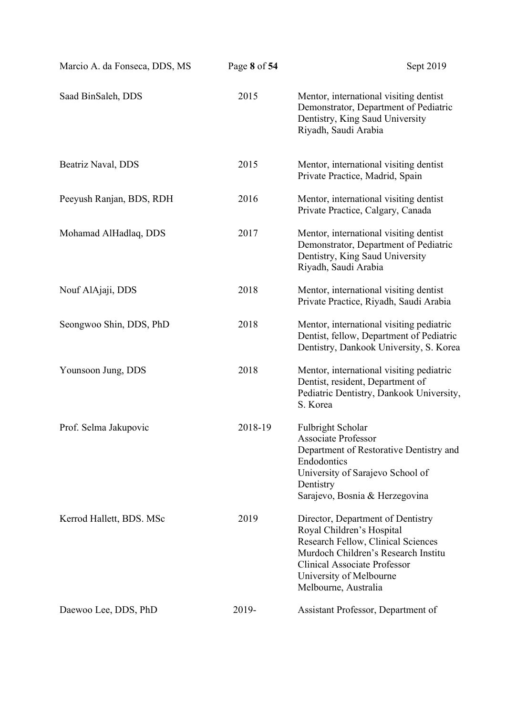| Marcio A. da Fonseca, DDS, MS | Page 8 of 54 | Sept 2019                                                                                                                                                                                                                             |
|-------------------------------|--------------|---------------------------------------------------------------------------------------------------------------------------------------------------------------------------------------------------------------------------------------|
| Saad BinSaleh, DDS            | 2015         | Mentor, international visiting dentist<br>Demonstrator, Department of Pediatric<br>Dentistry, King Saud University<br>Riyadh, Saudi Arabia                                                                                            |
| Beatriz Naval, DDS            | 2015         | Mentor, international visiting dentist<br>Private Practice, Madrid, Spain                                                                                                                                                             |
| Peeyush Ranjan, BDS, RDH      | 2016         | Mentor, international visiting dentist<br>Private Practice, Calgary, Canada                                                                                                                                                           |
| Mohamad AlHadlaq, DDS         | 2017         | Mentor, international visiting dentist<br>Demonstrator, Department of Pediatric<br>Dentistry, King Saud University<br>Riyadh, Saudi Arabia                                                                                            |
| Nouf AlAjaji, DDS             | 2018         | Mentor, international visiting dentist<br>Private Practice, Riyadh, Saudi Arabia                                                                                                                                                      |
| Seongwoo Shin, DDS, PhD       | 2018         | Mentor, international visiting pediatric<br>Dentist, fellow, Department of Pediatric<br>Dentistry, Dankook University, S. Korea                                                                                                       |
| Younsoon Jung, DDS            | 2018         | Mentor, international visiting pediatric<br>Dentist, resident, Department of<br>Pediatric Dentistry, Dankook University,<br>S. Korea                                                                                                  |
| Prof. Selma Jakupovic         | 2018-19      | Fulbright Scholar<br><b>Associate Professor</b><br>Department of Restorative Dentistry and<br>Endodontics<br>University of Sarajevo School of<br>Dentistry<br>Sarajevo, Bosnia & Herzegovina                                          |
| Kerrod Hallett, BDS. MSc      | 2019         | Director, Department of Dentistry<br>Royal Children's Hospital<br>Research Fellow, Clinical Sciences<br>Murdoch Children's Research Institu<br><b>Clinical Associate Professor</b><br>University of Melbourne<br>Melbourne, Australia |
| Daewoo Lee, DDS, PhD          | 2019-        | Assistant Professor, Department of                                                                                                                                                                                                    |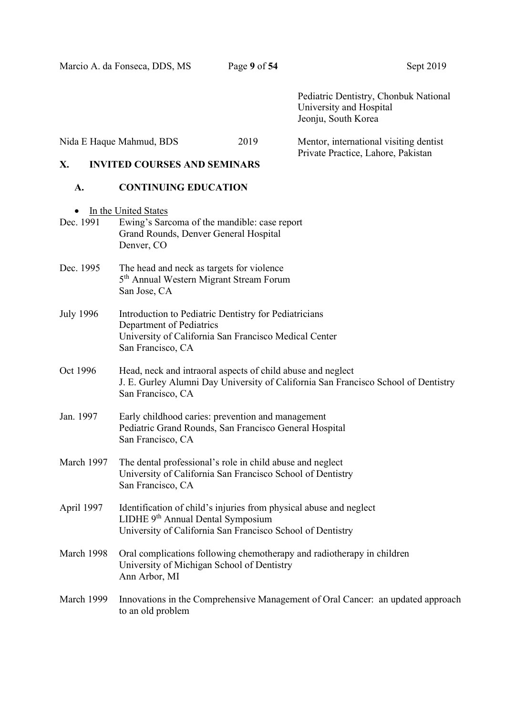Pediatric Dentistry, Chonbuk National University and Hospital Jeonju, South Korea

Nida E Haque Mahmud, BDS 2019 Mentor, international visiting dentist

## X. INVITED COURSES AND SEMINARS<br>
Private Practice, Lahore, Pakistan INVITED COURSES AND SEMINARS

## A. CONTINUING EDUCATION

 $\bullet$  In the United States

| Dec. 1991        | In the United States<br>Ewing's Sarcoma of the mandible: case report                                                                                                              |
|------------------|-----------------------------------------------------------------------------------------------------------------------------------------------------------------------------------|
|                  | Grand Rounds, Denver General Hospital<br>Denver, CO                                                                                                                               |
| Dec. 1995        | The head and neck as targets for violence<br>5 <sup>th</sup> Annual Western Migrant Stream Forum<br>San Jose, CA                                                                  |
| <b>July 1996</b> | Introduction to Pediatric Dentistry for Pediatricians<br>Department of Pediatrics<br>University of California San Francisco Medical Center<br>San Francisco, CA                   |
| Oct 1996         | Head, neck and intraoral aspects of child abuse and neglect<br>J. E. Gurley Alumni Day University of California San Francisco School of Dentistry<br>San Francisco, CA            |
| Jan. 1997        | Early childhood caries: prevention and management<br>Pediatric Grand Rounds, San Francisco General Hospital<br>San Francisco, CA                                                  |
| March 1997       | The dental professional's role in child abuse and neglect<br>University of California San Francisco School of Dentistry<br>San Francisco, CA                                      |
| April 1997       | Identification of child's injuries from physical abuse and neglect<br>LIDHE 9 <sup>th</sup> Annual Dental Symposium<br>University of California San Francisco School of Dentistry |
| March 1998       | Oral complications following chemotherapy and radiotherapy in children<br>University of Michigan School of Dentistry<br>Ann Arbor, MI                                             |
| March 1999       | Innovations in the Comprehensive Management of Oral Cancer: an updated approach<br>to an old problem                                                                              |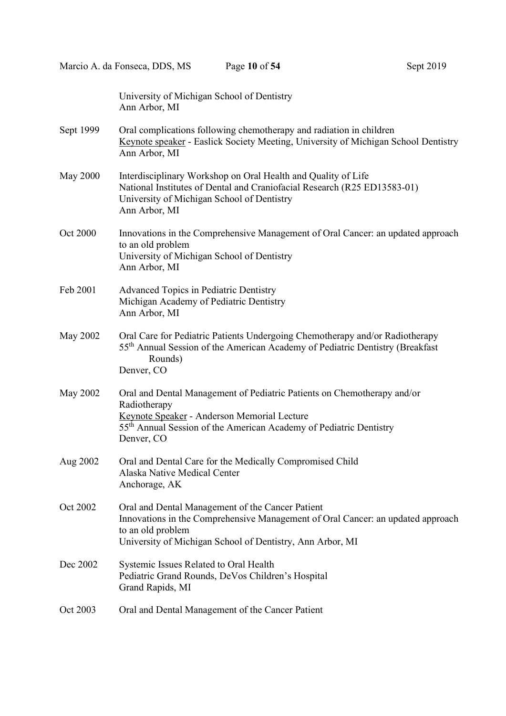University of Michigan School of Dentistry

 Ann Arbor, MI Sept 1999 Oral complications following chemotherapy and radiation in children Keynote speaker - Easlick Society Meeting, University of Michigan School Dentistry Ann Arbor, MI May 2000 Interdisciplinary Workshop on Oral Health and Quality of Life National Institutes of Dental and Craniofacial Research (R25 ED13583-01) University of Michigan School of Dentistry Ann Arbor, MI Oct 2000 Innovations in the Comprehensive Management of Oral Cancer: an updated approach to an old problem University of Michigan School of Dentistry Ann Arbor, MI Feb 2001 Advanced Topics in Pediatric Dentistry Michigan Academy of Pediatric Dentistry Ann Arbor, MI May 2002 Oral Care for Pediatric Patients Undergoing Chemotherapy and/or Radiotherapy 55th Annual Session of the American Academy of Pediatric Dentistry (Breakfast Rounds) Denver, CO May 2002 Oral and Dental Management of Pediatric Patients on Chemotherapy and/or Radiotherapy Keynote Speaker - Anderson Memorial Lecture 55th Annual Session of the American Academy of Pediatric Dentistry Denver, CO Aug 2002 Oral and Dental Care for the Medically Compromised Child Alaska Native Medical Center Anchorage, AK Oct 2002 Oral and Dental Management of the Cancer Patient Innovations in the Comprehensive Management of Oral Cancer: an updated approach to an old problem University of Michigan School of Dentistry, Ann Arbor, MI Dec 2002 Systemic Issues Related to Oral Health Pediatric Grand Rounds, DeVos Children's Hospital Grand Rapids, MI Oct 2003 Oral and Dental Management of the Cancer Patient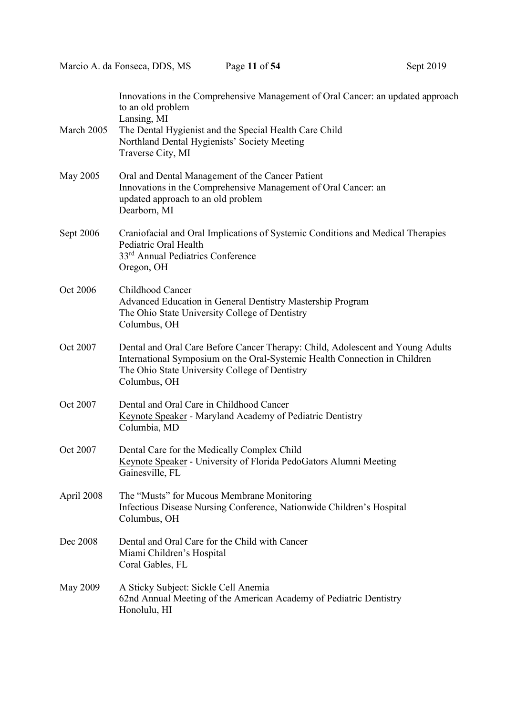| March 2005 | Innovations in the Comprehensive Management of Oral Cancer: an updated approach<br>to an old problem<br>Lansing, MI<br>The Dental Hygienist and the Special Health Care Child<br>Northland Dental Hygienists' Society Meeting<br>Traverse City, MI |
|------------|----------------------------------------------------------------------------------------------------------------------------------------------------------------------------------------------------------------------------------------------------|
| May 2005   | Oral and Dental Management of the Cancer Patient<br>Innovations in the Comprehensive Management of Oral Cancer: an<br>updated approach to an old problem<br>Dearborn, MI                                                                           |
| Sept 2006  | Craniofacial and Oral Implications of Systemic Conditions and Medical Therapies<br>Pediatric Oral Health<br>33 <sup>rd</sup> Annual Pediatrics Conference<br>Oregon, OH                                                                            |
| Oct 2006   | Childhood Cancer<br>Advanced Education in General Dentistry Mastership Program<br>The Ohio State University College of Dentistry<br>Columbus, OH                                                                                                   |
| Oct 2007   | Dental and Oral Care Before Cancer Therapy: Child, Adolescent and Young Adults<br>International Symposium on the Oral-Systemic Health Connection in Children<br>The Ohio State University College of Dentistry<br>Columbus, OH                     |
| Oct 2007   | Dental and Oral Care in Childhood Cancer<br><b>Keynote Speaker</b> - Maryland Academy of Pediatric Dentistry<br>Columbia, MD                                                                                                                       |
| Oct 2007   | Dental Care for the Medically Complex Child<br>Keynote Speaker - University of Florida PedoGators Alumni Meeting<br>Gainesville, FL                                                                                                                |
| April 2008 | The "Musts" for Mucous Membrane Monitoring<br>Infectious Disease Nursing Conference, Nationwide Children's Hospital<br>Columbus, OH                                                                                                                |
| Dec 2008   | Dental and Oral Care for the Child with Cancer<br>Miami Children's Hospital<br>Coral Gables, FL                                                                                                                                                    |
| May 2009   | A Sticky Subject: Sickle Cell Anemia<br>62nd Annual Meeting of the American Academy of Pediatric Dentistry<br>Honolulu, HI                                                                                                                         |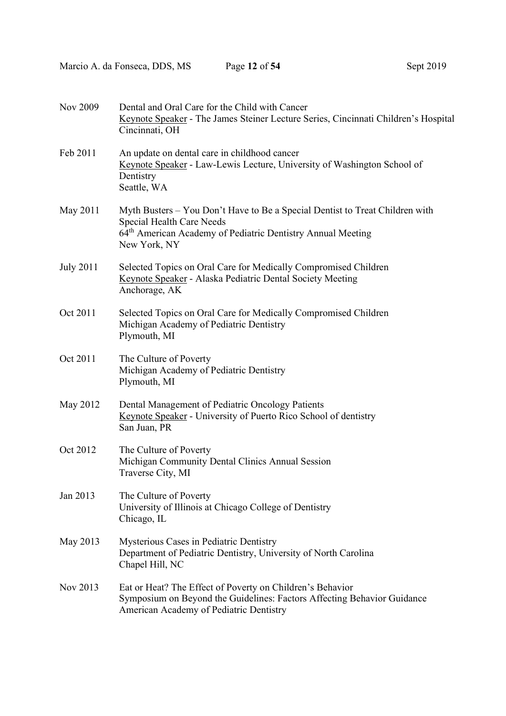| Nov 2009         | Dental and Oral Care for the Child with Cancer<br>Keynote Speaker - The James Steiner Lecture Series, Cincinnati Children's Hospital<br>Cincinnati, OH                                                      |
|------------------|-------------------------------------------------------------------------------------------------------------------------------------------------------------------------------------------------------------|
| Feb 2011         | An update on dental care in childhood cancer<br>Keynote Speaker - Law-Lewis Lecture, University of Washington School of<br>Dentistry<br>Seattle, WA                                                         |
| May 2011         | Myth Busters – You Don't Have to Be a Special Dentist to Treat Children with<br><b>Special Health Care Needs</b><br>64 <sup>th</sup> American Academy of Pediatric Dentistry Annual Meeting<br>New York, NY |
| <b>July 2011</b> | Selected Topics on Oral Care for Medically Compromised Children<br>Keynote Speaker - Alaska Pediatric Dental Society Meeting<br>Anchorage, AK                                                               |
| Oct 2011         | Selected Topics on Oral Care for Medically Compromised Children<br>Michigan Academy of Pediatric Dentistry<br>Plymouth, MI                                                                                  |
| Oct 2011         | The Culture of Poverty<br>Michigan Academy of Pediatric Dentistry<br>Plymouth, MI                                                                                                                           |
| May 2012         | Dental Management of Pediatric Oncology Patients<br>Keynote Speaker - University of Puerto Rico School of dentistry<br>San Juan, PR                                                                         |
| Oct 2012         | The Culture of Poverty<br>Michigan Community Dental Clinics Annual Session<br>Traverse City, MI                                                                                                             |
| Jan 2013         | The Culture of Poverty<br>University of Illinois at Chicago College of Dentistry<br>Chicago, IL                                                                                                             |
| May 2013         | Mysterious Cases in Pediatric Dentistry<br>Department of Pediatric Dentistry, University of North Carolina<br>Chapel Hill, NC                                                                               |
| Nov 2013         | Eat or Heat? The Effect of Poverty on Children's Behavior<br>Symposium on Beyond the Guidelines: Factors Affecting Behavior Guidance<br>American Academy of Pediatric Dentistry                             |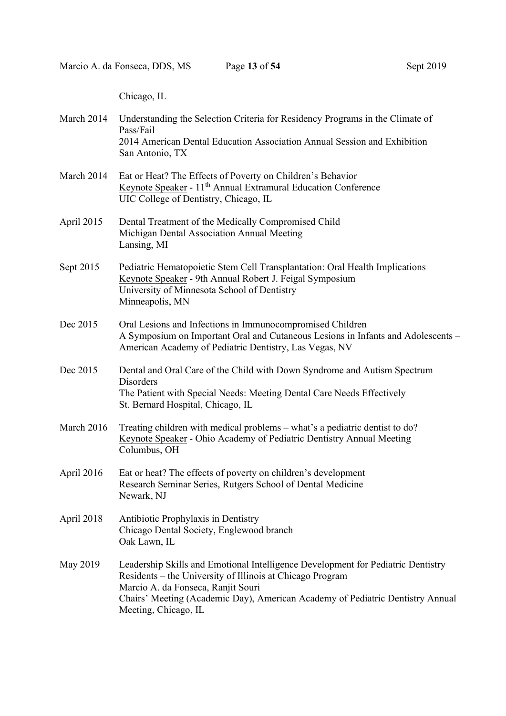Chicago, IL

| March 2014 | Understanding the Selection Criteria for Residency Programs in the Climate of<br>Pass/Fail<br>2014 American Dental Education Association Annual Session and Exhibition<br>San Antonio, TX                                                                                                     |
|------------|-----------------------------------------------------------------------------------------------------------------------------------------------------------------------------------------------------------------------------------------------------------------------------------------------|
| March 2014 | Eat or Heat? The Effects of Poverty on Children's Behavior<br>Keynote Speaker - 11 <sup>th</sup> Annual Extramural Education Conference<br>UIC College of Dentistry, Chicago, IL                                                                                                              |
| April 2015 | Dental Treatment of the Medically Compromised Child<br>Michigan Dental Association Annual Meeting<br>Lansing, MI                                                                                                                                                                              |
| Sept 2015  | Pediatric Hematopoietic Stem Cell Transplantation: Oral Health Implications<br>Keynote Speaker - 9th Annual Robert J. Feigal Symposium<br>University of Minnesota School of Dentistry<br>Minneapolis, MN                                                                                      |
| Dec 2015   | Oral Lesions and Infections in Immunocompromised Children<br>A Symposium on Important Oral and Cutaneous Lesions in Infants and Adolescents -<br>American Academy of Pediatric Dentistry, Las Vegas, NV                                                                                       |
| Dec 2015   | Dental and Oral Care of the Child with Down Syndrome and Autism Spectrum<br><b>Disorders</b><br>The Patient with Special Needs: Meeting Dental Care Needs Effectively<br>St. Bernard Hospital, Chicago, IL                                                                                    |
| March 2016 | Treating children with medical problems – what's a pediatric dentist to do?<br>Keynote Speaker - Ohio Academy of Pediatric Dentistry Annual Meeting<br>Columbus, OH                                                                                                                           |
| April 2016 | Eat or heat? The effects of poverty on children's development<br>Research Seminar Series, Rutgers School of Dental Medicine<br>Newark, NJ                                                                                                                                                     |
| April 2018 | Antibiotic Prophylaxis in Dentistry<br>Chicago Dental Society, Englewood branch<br>Oak Lawn, IL                                                                                                                                                                                               |
| May 2019   | Leadership Skills and Emotional Intelligence Development for Pediatric Dentistry<br>Residents – the University of Illinois at Chicago Program<br>Marcio A. da Fonseca, Ranjit Souri<br>Chairs' Meeting (Academic Day), American Academy of Pediatric Dentistry Annual<br>Meeting, Chicago, IL |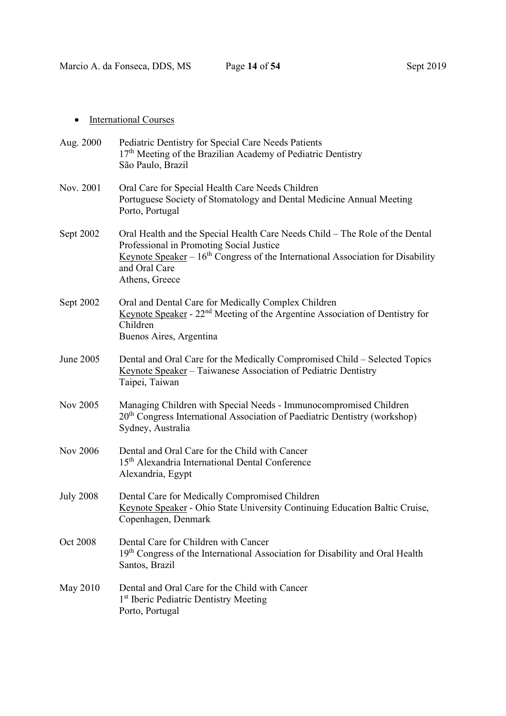| Aug. 2000        | Pediatric Dentistry for Special Care Needs Patients<br>$17th$ Meeting of the Brazilian Academy of Pediatric Dentistry<br>São Paulo, Brazil                                                                                                              |
|------------------|---------------------------------------------------------------------------------------------------------------------------------------------------------------------------------------------------------------------------------------------------------|
| Nov. 2001        | Oral Care for Special Health Care Needs Children<br>Portuguese Society of Stomatology and Dental Medicine Annual Meeting<br>Porto, Portugal                                                                                                             |
| Sept 2002        | Oral Health and the Special Health Care Needs Child – The Role of the Dental<br>Professional in Promoting Social Justice<br><u>Keynote Speaker</u> – $16th$ Congress of the International Association for Disability<br>and Oral Care<br>Athens, Greece |
| Sept 2002        | Oral and Dental Care for Medically Complex Children<br>Keynote Speaker - 22 <sup>nd</sup> Meeting of the Argentine Association of Dentistry for<br>Children<br>Buenos Aires, Argentina                                                                  |
| June 2005        | Dental and Oral Care for the Medically Compromised Child – Selected Topics<br>Keynote Speaker - Taiwanese Association of Pediatric Dentistry<br>Taipei, Taiwan                                                                                          |
| Nov 2005         | Managing Children with Special Needs - Immunocompromised Children<br>20 <sup>th</sup> Congress International Association of Paediatric Dentistry (workshop)<br>Sydney, Australia                                                                        |
| <b>Nov 2006</b>  | Dental and Oral Care for the Child with Cancer<br>15 <sup>th</sup> Alexandria International Dental Conference<br>Alexandria, Egypt                                                                                                                      |
| <b>July 2008</b> | Dental Care for Medically Compromised Children<br>Keynote Speaker - Ohio State University Continuing Education Baltic Cruise,<br>Copenhagen, Denmark                                                                                                    |
| Oct 2008         | Dental Care for Children with Cancer<br>19th Congress of the International Association for Disability and Oral Health<br>Santos, Brazil                                                                                                                 |
| May 2010         | Dental and Oral Care for the Child with Cancer<br>1 <sup>st</sup> Iberic Pediatric Dentistry Meeting<br>Porto, Portugal                                                                                                                                 |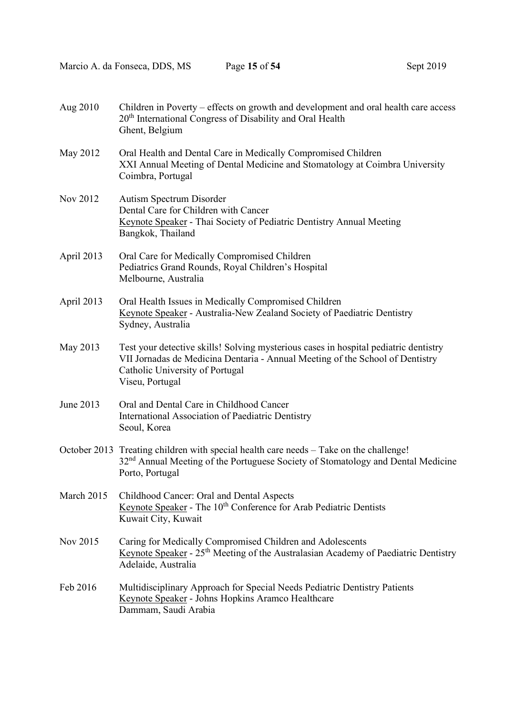| Aug 2010   | Children in Poverty – effects on growth and development and oral health care access<br>20 <sup>th</sup> International Congress of Disability and Oral Health<br>Ghent, Belgium                                              |
|------------|-----------------------------------------------------------------------------------------------------------------------------------------------------------------------------------------------------------------------------|
| May 2012   | Oral Health and Dental Care in Medically Compromised Children<br>XXI Annual Meeting of Dental Medicine and Stomatology at Coimbra University<br>Coimbra, Portugal                                                           |
| Nov 2012   | Autism Spectrum Disorder<br>Dental Care for Children with Cancer<br>Keynote Speaker - Thai Society of Pediatric Dentistry Annual Meeting<br>Bangkok, Thailand                                                               |
| April 2013 | Oral Care for Medically Compromised Children<br>Pediatrics Grand Rounds, Royal Children's Hospital<br>Melbourne, Australia                                                                                                  |
| April 2013 | Oral Health Issues in Medically Compromised Children<br>Keynote Speaker - Australia-New Zealand Society of Paediatric Dentistry<br>Sydney, Australia                                                                        |
| May 2013   | Test your detective skills! Solving mysterious cases in hospital pediatric dentistry<br>VII Jornadas de Medicina Dentaria - Annual Meeting of the School of Dentistry<br>Catholic University of Portugal<br>Viseu, Portugal |
| June 2013  | Oral and Dental Care in Childhood Cancer<br>International Association of Paediatric Dentistry<br>Seoul, Korea                                                                                                               |
|            | October 2013 Treating children with special health care needs - Take on the challenge!<br>32 <sup>nd</sup> Annual Meeting of the Portuguese Society of Stomatology and Dental Medicine<br>Porto, Portugal                   |
| March 2015 | Childhood Cancer: Oral and Dental Aspects<br>Keynote Speaker - The 10 <sup>th</sup> Conference for Arab Pediatric Dentists<br>Kuwait City, Kuwait                                                                           |
| Nov 2015   | Caring for Medically Compromised Children and Adolescents<br>Keynote Speaker - 25 <sup>th</sup> Meeting of the Australasian Academy of Paediatric Dentistry<br>Adelaide, Australia                                          |
| Feb 2016   | Multidisciplinary Approach for Special Needs Pediatric Dentistry Patients<br>Keynote Speaker - Johns Hopkins Aramco Healthcare<br>Dammam, Saudi Arabia                                                                      |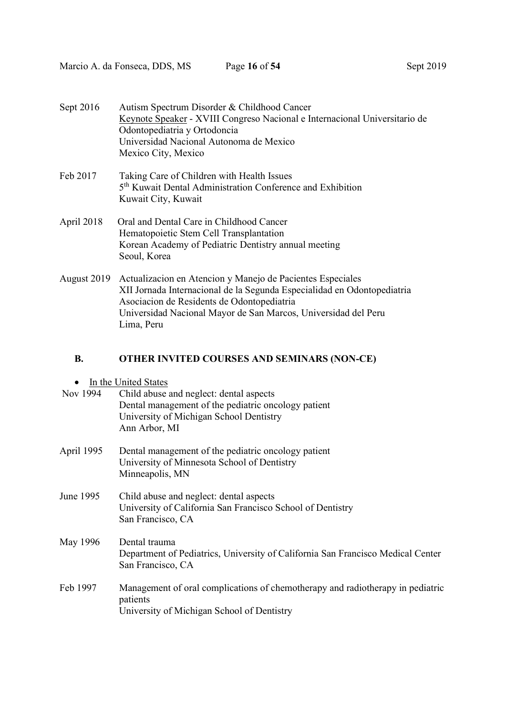| Sept 2019 |  |
|-----------|--|
|-----------|--|

| Sept 2016   | Autism Spectrum Disorder & Childhood Cancer                                |
|-------------|----------------------------------------------------------------------------|
|             | Keynote Speaker - XVIII Congreso Nacional e Internacional Universitario de |
|             | Odontopediatria y Ortodoncia                                               |
|             | Universidad Nacional Autonoma de Mexico                                    |
|             | Mexico City, Mexico                                                        |
| Feb 2017    | Taking Care of Children with Health Issues                                 |
|             | 5 <sup>th</sup> Kuwait Dental Administration Conference and Exhibition     |
|             | Kuwait City, Kuwait                                                        |
| April 2018  | Oral and Dental Care in Childhood Cancer                                   |
|             | Hematopoietic Stem Cell Transplantation                                    |
|             | Korean Academy of Pediatric Dentistry annual meeting                       |
|             | Seoul, Korea                                                               |
| August 2019 | Actualizacion en Atencion y Manejo de Pacientes Especiales                 |
|             | XII Jornada Internacional de la Segunda Especialidad en Odontopediatria    |
|             | Asociacion de Residents de Odontopediatria                                 |

 Universidad Nacional Mayor de San Marcos, Universidad del Peru Lima, Peru

## B. OTHER INVITED COURSES AND SEMINARS (NON-CE)

| Nov 1994 | Child abuse and neglect: dental aspects             |
|----------|-----------------------------------------------------|
|          | Dental management of the pediatric oncology patient |
|          | University of Michigan School Dentistry             |
|          | Ann Arbor, MI                                       |

- April 1995 Dental management of the pediatric oncology patient University of Minnesota School of Dentistry Minneapolis, MN
- June 1995 Child abuse and neglect: dental aspects University of California San Francisco School of Dentistry San Francisco, CA
- May 1996 Dental trauma Department of Pediatrics, University of California San Francisco Medical Center San Francisco, CA
- Feb 1997 Management of oral complications of chemotherapy and radiotherapy in pediatric patients University of Michigan School of Dentistry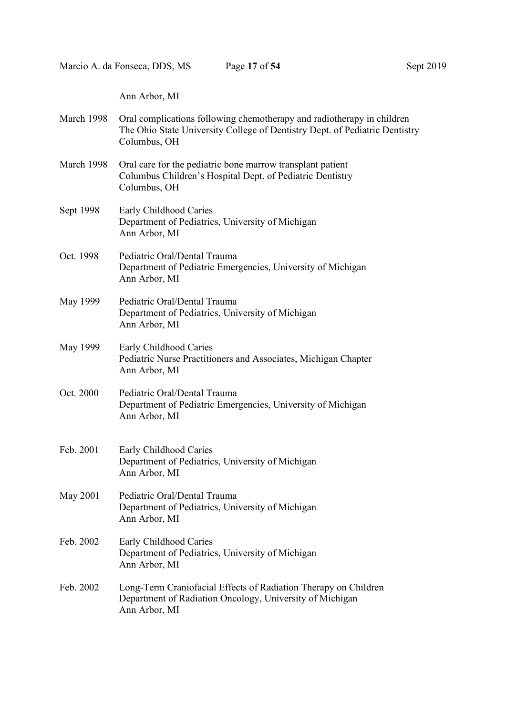Ann Arbor, MI

| March 1998 Oral complications following chemotherapy and radiotherapy in children |
|-----------------------------------------------------------------------------------|
| The Ohio State University College of Dentistry Dept. of Pediatric Dentistry       |
|                                                                                   |
|                                                                                   |

- March 1998 Oral care for the pediatric bone marrow transplant patient Columbus Children's Hospital Dept. of Pediatric Dentistry Columbus, OH
- Sept 1998 Early Childhood Caries Department of Pediatrics, University of Michigan Ann Arbor, MI
- Oct. 1998 Pediatric Oral/Dental Trauma Department of Pediatric Emergencies, University of Michigan Ann Arbor, MI
- May 1999 Pediatric Oral/Dental Trauma Department of Pediatrics, University of Michigan Ann Arbor, MI
- May 1999 Early Childhood Caries Pediatric Nurse Practitioners and Associates, Michigan Chapter Ann Arbor, MI
- Oct. 2000 Pediatric Oral/Dental Trauma Department of Pediatric Emergencies, University of Michigan Ann Arbor, MI
- Feb. 2001 Early Childhood Caries Department of Pediatrics, University of Michigan Ann Arbor, MI
- May 2001 Pediatric Oral/Dental Trauma Department of Pediatrics, University of Michigan Ann Arbor, MI
- Feb. 2002 Early Childhood Caries Department of Pediatrics, University of Michigan Ann Arbor, MI
- Feb. 2002 Long-Term Craniofacial Effects of Radiation Therapy on Children Department of Radiation Oncology, University of Michigan Ann Arbor, MI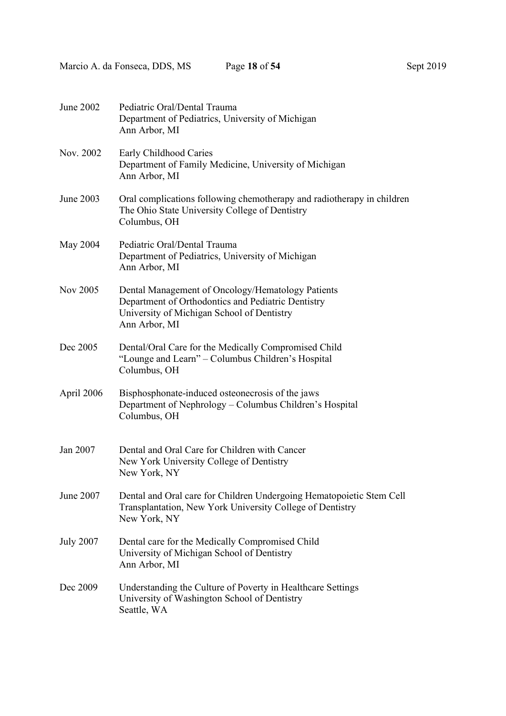Marcio A. da Fonseca, DDS, MS Page 18 of 54 Sept 2019

| June 2002        | Pediatric Oral/Dental Trauma<br>Department of Pediatrics, University of Michigan<br>Ann Arbor, MI                                                                      |
|------------------|------------------------------------------------------------------------------------------------------------------------------------------------------------------------|
| Nov. 2002        | Early Childhood Caries<br>Department of Family Medicine, University of Michigan<br>Ann Arbor, MI                                                                       |
| June 2003        | Oral complications following chemotherapy and radiotherapy in children<br>The Ohio State University College of Dentistry<br>Columbus, OH                               |
| May 2004         | Pediatric Oral/Dental Trauma<br>Department of Pediatrics, University of Michigan<br>Ann Arbor, MI                                                                      |
| Nov 2005         | Dental Management of Oncology/Hematology Patients<br>Department of Orthodontics and Pediatric Dentistry<br>University of Michigan School of Dentistry<br>Ann Arbor, MI |
| Dec 2005         | Dental/Oral Care for the Medically Compromised Child<br>"Lounge and Learn" – Columbus Children's Hospital<br>Columbus, OH                                              |
| April 2006       | Bisphosphonate-induced osteonecrosis of the jaws<br>Department of Nephrology – Columbus Children's Hospital<br>Columbus, OH                                            |
| Jan 2007         | Dental and Oral Care for Children with Cancer<br>New York University College of Dentistry<br>New York, NY                                                              |
| June 2007        | Dental and Oral care for Children Undergoing Hematopoietic Stem Cell<br>Transplantation, New York University College of Dentistry<br>New York, NY                      |
| <b>July 2007</b> | Dental care for the Medically Compromised Child<br>University of Michigan School of Dentistry<br>Ann Arbor, MI                                                         |
| Dec 2009         | Understanding the Culture of Poverty in Healthcare Settings<br>University of Washington School of Dentistry<br>Seattle, WA                                             |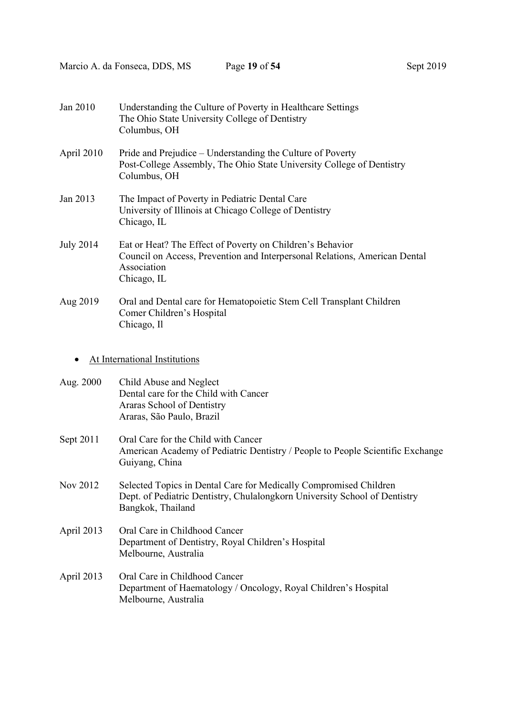| Jan 2010         | Understanding the Culture of Poverty in Healthcare Settings<br>The Ohio State University College of Dentistry<br>Columbus, OH                                         |
|------------------|-----------------------------------------------------------------------------------------------------------------------------------------------------------------------|
| April 2010       | Pride and Prejudice – Understanding the Culture of Poverty<br>Post-College Assembly, The Ohio State University College of Dentistry<br>Columbus, OH                   |
| Jan 2013         | The Impact of Poverty in Pediatric Dental Care<br>University of Illinois at Chicago College of Dentistry<br>Chicago, IL                                               |
| <b>July 2014</b> | Eat or Heat? The Effect of Poverty on Children's Behavior<br>Council on Access, Prevention and Interpersonal Relations, American Dental<br>Association<br>Chicago, IL |
| Aug 2019         | Oral and Dental care for Hematopoietic Stem Cell Transplant Children<br>Comer Children's Hospital<br>Chicago, Il                                                      |
|                  | At International Institutions                                                                                                                                         |
| Aug. 2000        | Child Abuse and Neglect<br>Dental care for the Child with Cancer<br>Araras School of Dentistry<br>Araras, São Paulo, Brazil                                           |
| Sept 2011        | Oral Care for the Child with Cancer<br>American Academy of Pediatric Dentistry / People to People Scientific Exchange<br>Guiyang, China                               |
| Nov 2012         | Selected Topics in Dental Care for Medically Compromised Children<br>Dept. of Pediatric Dentistry, Chulalongkorn University School of Dentistry<br>Bangkok, Thailand  |
| April 2013       | Oral Care in Childhood Cancer<br>Department of Dentistry, Royal Children's Hospital<br>Melbourne, Australia                                                           |
| April 2013       | Oral Care in Childhood Cancer<br>Department of Haematology / Oncology, Royal Children's Hospital<br>Melbourne, Australia                                              |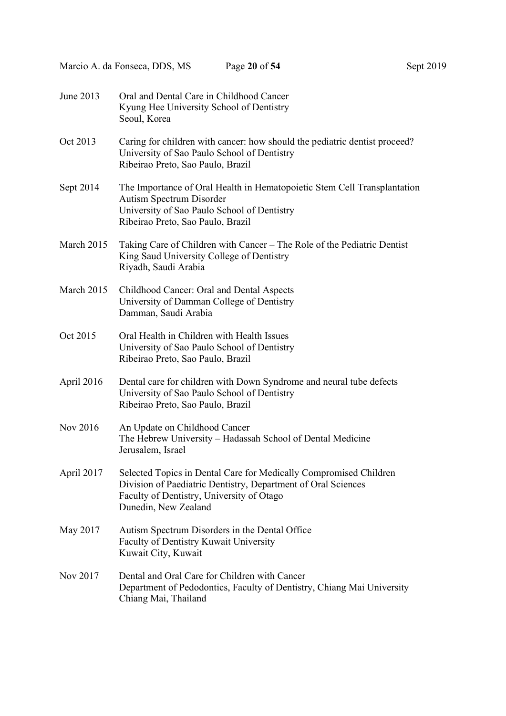| June 2013  | Oral and Dental Care in Childhood Cancer<br>Kyung Hee University School of Dentistry<br>Seoul, Korea                                                                                                    |
|------------|---------------------------------------------------------------------------------------------------------------------------------------------------------------------------------------------------------|
| Oct 2013   | Caring for children with cancer: how should the pediatric dentist proceed?<br>University of Sao Paulo School of Dentistry<br>Ribeirao Preto, Sao Paulo, Brazil                                          |
| Sept 2014  | The Importance of Oral Health in Hematopoietic Stem Cell Transplantation<br>Autism Spectrum Disorder<br>University of Sao Paulo School of Dentistry<br>Ribeirao Preto, Sao Paulo, Brazil                |
| March 2015 | Taking Care of Children with Cancer – The Role of the Pediatric Dentist<br>King Saud University College of Dentistry<br>Riyadh, Saudi Arabia                                                            |
| March 2015 | Childhood Cancer: Oral and Dental Aspects<br>University of Damman College of Dentistry<br>Damman, Saudi Arabia                                                                                          |
| Oct 2015   | Oral Health in Children with Health Issues<br>University of Sao Paulo School of Dentistry<br>Ribeirao Preto, Sao Paulo, Brazil                                                                          |
| April 2016 | Dental care for children with Down Syndrome and neural tube defects<br>University of Sao Paulo School of Dentistry<br>Ribeirao Preto, Sao Paulo, Brazil                                                 |
| Nov 2016   | An Update on Childhood Cancer<br>The Hebrew University - Hadassah School of Dental Medicine<br>Jerusalem, Israel                                                                                        |
| April 2017 | Selected Topics in Dental Care for Medically Compromised Children<br>Division of Paediatric Dentistry, Department of Oral Sciences<br>Faculty of Dentistry, University of Otago<br>Dunedin, New Zealand |
| May 2017   | Autism Spectrum Disorders in the Dental Office<br>Faculty of Dentistry Kuwait University<br>Kuwait City, Kuwait                                                                                         |
| Nov 2017   | Dental and Oral Care for Children with Cancer<br>Department of Pedodontics, Faculty of Dentistry, Chiang Mai University<br>Chiang Mai, Thailand                                                         |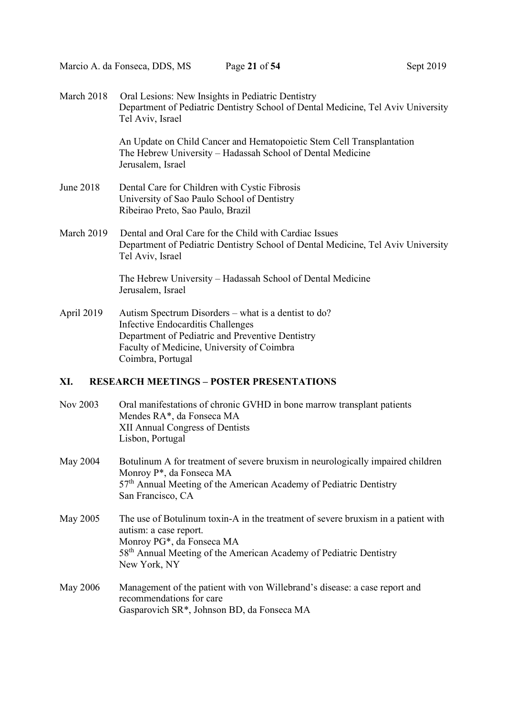| March 2018 | Oral Lesions: New Insights in Pediatric Dentistry<br>Department of Pediatric Dentistry School of Dental Medicine, Tel Aviv University<br>Tel Aviv, Israel      |
|------------|----------------------------------------------------------------------------------------------------------------------------------------------------------------|
|            | An Update on Child Cancer and Hematopoietic Stem Cell Transplantation<br>The Hebrew University – Hadassah School of Dental Medicine<br>Jerusalem, Israel       |
| June 2018  | Dental Care for Children with Cystic Fibrosis<br>University of Sao Paulo School of Dentistry<br>Ribeirao Preto, Sao Paulo, Brazil                              |
| March 2019 | Dental and Oral Care for the Child with Cardiac Issues<br>Department of Pediatric Dentistry School of Dental Medicine, Tel Aviv University<br>Tel Aviv, Israel |
|            | The Hebrew University - Hadassah School of Dental Medicine<br>Jerusalem, Israel                                                                                |
| April 2019 | Autism Spectrum Disorders – what is a dentist to do?<br>Infective Endocarditis Challenges<br>Department of Pediatric and Preventive Dentistry                  |

#### XI. RESEARCH MEETINGS – POSTER PRESENTATIONS

Coimbra, Portugal

Faculty of Medicine, University of Coimbra

| Nov 2003 | Oral manifestations of chronic GVHD in bone marrow transplant patients |
|----------|------------------------------------------------------------------------|
|          | Mendes RA*, da Fonseca MA                                              |
|          | XII Annual Congress of Dentists                                        |
|          | Lisbon, Portugal                                                       |
|          |                                                                        |

- May 2004 Botulinum A for treatment of severe bruxism in neurologically impaired children Monroy P\*, da Fonseca MA 57<sup>th</sup> Annual Meeting of the American Academy of Pediatric Dentistry San Francisco, CA
- May 2005 The use of Botulinum toxin-A in the treatment of severe bruxism in a patient with autism: a case report. Monroy PG\*, da Fonseca MA 58<sup>th</sup> Annual Meeting of the American Academy of Pediatric Dentistry New York, NY
- May 2006 Management of the patient with von Willebrand's disease: a case report and recommendations for care Gasparovich SR\*, Johnson BD, da Fonseca MA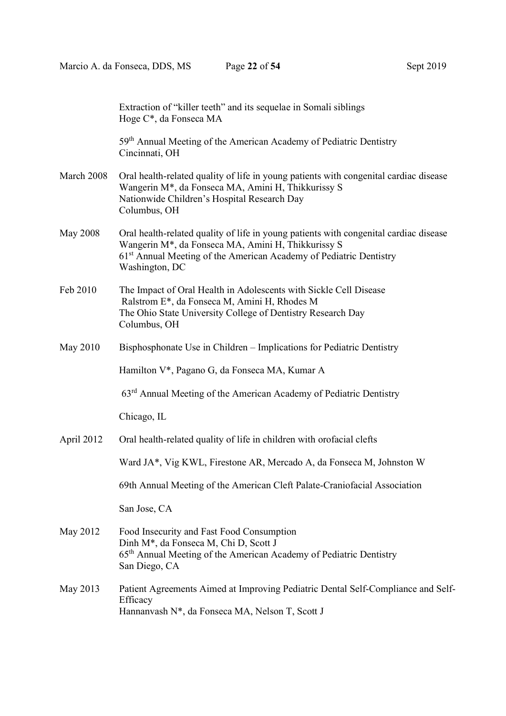|                 | Extraction of "killer teeth" and its sequelae in Somali siblings<br>Hoge C*, da Fonseca MA                                                                                                                                                      |
|-----------------|-------------------------------------------------------------------------------------------------------------------------------------------------------------------------------------------------------------------------------------------------|
|                 | 59 <sup>th</sup> Annual Meeting of the American Academy of Pediatric Dentistry<br>Cincinnati, OH                                                                                                                                                |
| March 2008      | Oral health-related quality of life in young patients with congenital cardiac disease<br>Wangerin M*, da Fonseca MA, Amini H, Thikkurissy S<br>Nationwide Children's Hospital Research Day<br>Columbus, OH                                      |
| <b>May 2008</b> | Oral health-related quality of life in young patients with congenital cardiac disease<br>Wangerin M*, da Fonseca MA, Amini H, Thikkurissy S<br>61 <sup>st</sup> Annual Meeting of the American Academy of Pediatric Dentistry<br>Washington, DC |
| Feb 2010        | The Impact of Oral Health in Adolescents with Sickle Cell Disease<br>Ralstrom E*, da Fonseca M, Amini H, Rhodes M<br>The Ohio State University College of Dentistry Research Day<br>Columbus, OH                                                |
| May 2010        | Bisphosphonate Use in Children - Implications for Pediatric Dentistry                                                                                                                                                                           |
|                 | Hamilton V*, Pagano G, da Fonseca MA, Kumar A                                                                                                                                                                                                   |
|                 | $63rd$ Annual Meeting of the American Academy of Pediatric Dentistry                                                                                                                                                                            |
|                 | Chicago, IL                                                                                                                                                                                                                                     |
| April 2012      | Oral health-related quality of life in children with orofacial clefts                                                                                                                                                                           |
|                 | Ward JA*, Vig KWL, Firestone AR, Mercado A, da Fonseca M, Johnston W                                                                                                                                                                            |
|                 | 69th Annual Meeting of the American Cleft Palate-Craniofacial Association                                                                                                                                                                       |
|                 | San Jose, CA                                                                                                                                                                                                                                    |
| May 2012        | Food Insecurity and Fast Food Consumption<br>Dinh M <sup>*</sup> , da Fonseca M, Chi D, Scott J<br>65 <sup>th</sup> Annual Meeting of the American Academy of Pediatric Dentistry<br>San Diego, CA                                              |
| May 2013        | Patient Agreements Aimed at Improving Pediatric Dental Self-Compliance and Self-<br>Efficacy<br>Hannanvash N*, da Fonseca MA, Nelson T, Scott J                                                                                                 |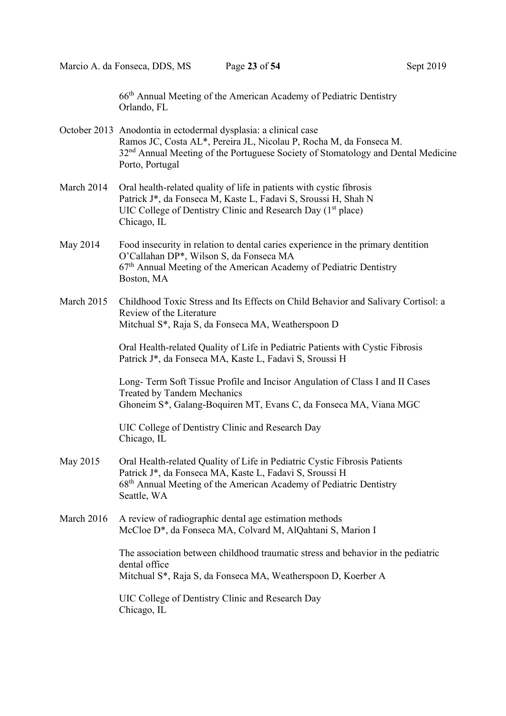66th Annual Meeting of the American Academy of Pediatric Dentistry Orlando, FL

- October 2013 Anodontia in ectodermal dysplasia: a clinical case Ramos JC, Costa AL\*, Pereira JL, Nicolau P, Rocha M, da Fonseca M. 32<sup>nd</sup> Annual Meeting of the Portuguese Society of Stomatology and Dental Medicine Porto, Portugal
- March 2014 Oral health-related quality of life in patients with cystic fibrosis Patrick J\*, da Fonseca M, Kaste L, Fadavi S, Sroussi H, Shah N UIC College of Dentistry Clinic and Research Day  $(1<sup>st</sup> place)$ Chicago, IL
- May 2014 Food insecurity in relation to dental caries experience in the primary dentition O'Callahan DP\*, Wilson S, da Fonseca MA  $67<sup>th</sup>$  Annual Meeting of the American Academy of Pediatric Dentistry Boston, MA
- March 2015 Childhood Toxic Stress and Its Effects on Child Behavior and Salivary Cortisol: a Review of the Literature Mitchual S\*, Raja S, da Fonseca MA, Weatherspoon D

 Oral Health-related Quality of Life in Pediatric Patients with Cystic Fibrosis Patrick J\*, da Fonseca MA, Kaste L, Fadavi S, Sroussi H

 Long- Term Soft Tissue Profile and Incisor Angulation of Class I and II Cases Treated by Tandem Mechanics Ghoneim S\*, Galang-Boquiren MT, Evans C, da Fonseca MA, Viana MGC

 UIC College of Dentistry Clinic and Research Day Chicago, IL

- May 2015 Oral Health-related Quality of Life in Pediatric Cystic Fibrosis Patients Patrick J\*, da Fonseca MA, Kaste L, Fadavi S, Sroussi H 68th Annual Meeting of the American Academy of Pediatric Dentistry Seattle, WA
- March 2016 A review of radiographic dental age estimation methods McCloe D\*, da Fonseca MA, Colvard M, AlQahtani S, Marion I

 The association between childhood traumatic stress and behavior in the pediatric dental office Mitchual S\*, Raja S, da Fonseca MA, Weatherspoon D, Koerber A

 UIC College of Dentistry Clinic and Research Day Chicago, IL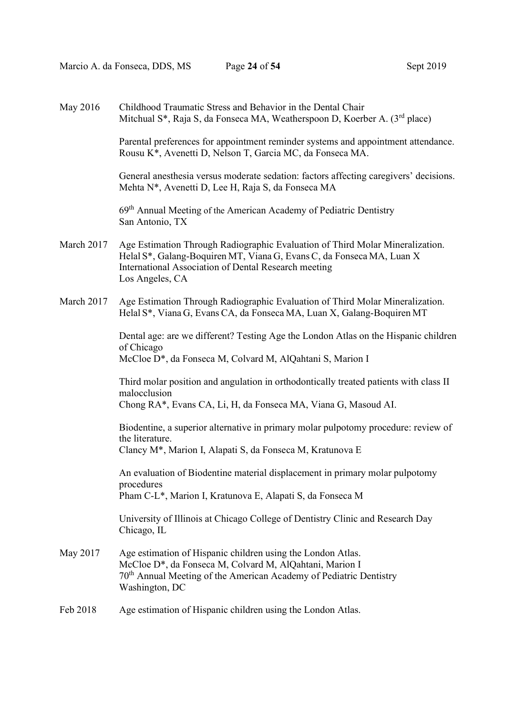| May 2016   | Childhood Traumatic Stress and Behavior in the Dental Chair<br>Mitchual S <sup>*</sup> , Raja S, da Fonseca MA, Weatherspoon D, Koerber A. (3 <sup>rd</sup> place)                                                                |
|------------|-----------------------------------------------------------------------------------------------------------------------------------------------------------------------------------------------------------------------------------|
|            | Parental preferences for appointment reminder systems and appointment attendance.<br>Rousu K*, Avenetti D, Nelson T, Garcia MC, da Fonseca MA.                                                                                    |
|            | General anesthesia versus moderate sedation: factors affecting caregivers' decisions.<br>Mehta N*, Avenetti D, Lee H, Raja S, da Fonseca MA                                                                                       |
|            | 69 <sup>th</sup> Annual Meeting of the American Academy of Pediatric Dentistry<br>San Antonio, TX                                                                                                                                 |
| March 2017 | Age Estimation Through Radiographic Evaluation of Third Molar Mineralization.<br>Helal S*, Galang-Boquiren MT, Viana G, Evans C, da Fonseca MA, Luan X<br>International Association of Dental Research meeting<br>Los Angeles, CA |
| March 2017 | Age Estimation Through Radiographic Evaluation of Third Molar Mineralization.<br>Helal S*, Viana G, Evans CA, da Fonseca MA, Luan X, Galang-Boquiren MT                                                                           |
|            | Dental age: are we different? Testing Age the London Atlas on the Hispanic children<br>of Chicago<br>McCloe D*, da Fonseca M, Colvard M, AlQahtani S, Marion I                                                                    |
|            | Third molar position and angulation in orthodontically treated patients with class II<br>malocclusion<br>Chong RA*, Evans CA, Li, H, da Fonseca MA, Viana G, Masoud AI.                                                           |
|            | Biodentine, a superior alternative in primary molar pulpotomy procedure: review of<br>the literature.<br>Clancy M*, Marion I, Alapati S, da Fonseca M, Kratunova E                                                                |
|            | An evaluation of Biodentine material displacement in primary molar pulpotomy<br>procedures<br>Pham C-L*, Marion I, Kratunova E, Alapati S, da Fonseca M                                                                           |
|            | University of Illinois at Chicago College of Dentistry Clinic and Research Day<br>Chicago, IL                                                                                                                                     |
| May 2017   | Age estimation of Hispanic children using the London Atlas.<br>McCloe D*, da Fonseca M, Colvard M, AlQahtani, Marion I<br>70 <sup>th</sup> Annual Meeting of the American Academy of Pediatric Dentistry<br>Washington, DC        |
| Feb 2018   | Age estimation of Hispanic children using the London Atlas.                                                                                                                                                                       |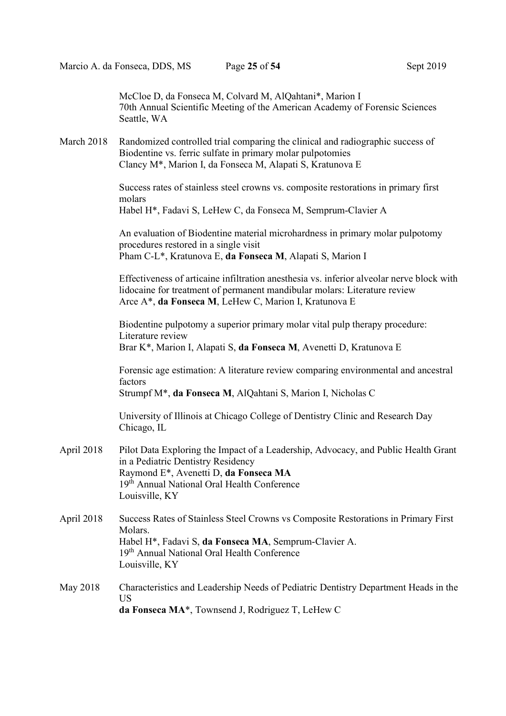McCloe D, da Fonseca M, Colvard M, AlQahtani\*, Marion I 70th Annual Scientific Meeting of the American Academy of Forensic Sciences Seattle, WA

March 2018 Randomized controlled trial comparing the clinical and radiographic success of Biodentine vs. ferric sulfate in primary molar pulpotomies Clancy M\*, Marion I, da Fonseca M, Alapati S, Kratunova E

> Success rates of stainless steel crowns vs. composite restorations in primary first molars Habel H\*, Fadavi S, LeHew C, da Fonseca M, Semprum-Clavier A

An evaluation of Biodentine material microhardness in primary molar pulpotomy procedures restored in a single visit Pham C-L\*, Kratunova E, da Fonseca M, Alapati S, Marion I

Effectiveness of articaine infiltration anesthesia vs. inferior alveolar nerve block with lidocaine for treatment of permanent mandibular molars: Literature review Arce A\*, da Fonseca M, LeHew C, Marion I, Kratunova E

Biodentine pulpotomy a superior primary molar vital pulp therapy procedure: Literature review Brar K\*, Marion I, Alapati S, da Fonseca M, Avenetti D, Kratunova E

Forensic age estimation: A literature review comparing environmental and ancestral factors

Strumpf M\*, da Fonseca M, AlQahtani S, Marion I, Nicholas C

University of Illinois at Chicago College of Dentistry Clinic and Research Day Chicago, IL

- April 2018 Pilot Data Exploring the Impact of a Leadership, Advocacy, and Public Health Grant in a Pediatric Dentistry Residency Raymond E\*, Avenetti D, da Fonseca MA 19<sup>th</sup> Annual National Oral Health Conference Louisville, KY
- April 2018 Success Rates of Stainless Steel Crowns vs Composite Restorations in Primary First Molars. Habel H\*, Fadavi S, da Fonseca MA, Semprum-Clavier A. 19<sup>th</sup> Annual National Oral Health Conference Louisville, KY
- May 2018 Characteristics and Leadership Needs of Pediatric Dentistry Department Heads in the US da Fonseca MA\*, Townsend J, Rodriguez T, LeHew C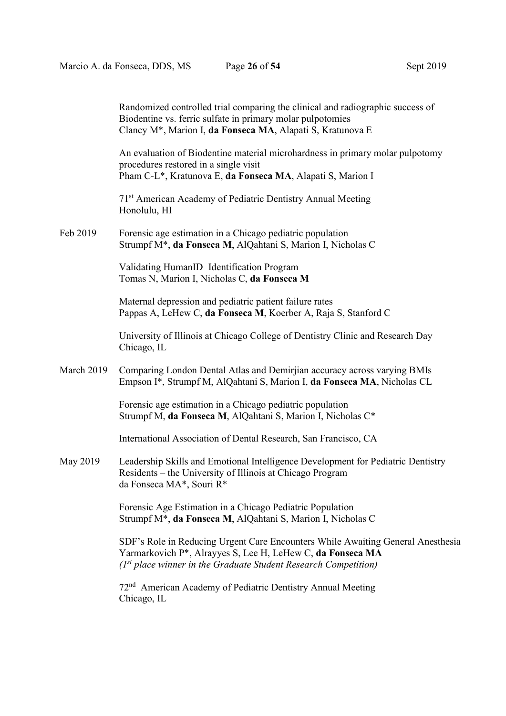|            | Randomized controlled trial comparing the clinical and radiographic success of<br>Biodentine vs. ferric sulfate in primary molar pulpotomies<br>Clancy M*, Marion I, da Fonseca MA, Alapati S, Kratunova E         |
|------------|--------------------------------------------------------------------------------------------------------------------------------------------------------------------------------------------------------------------|
|            | An evaluation of Biodentine material microhardness in primary molar pulpotomy<br>procedures restored in a single visit<br>Pham C-L*, Kratunova E, da Fonseca MA, Alapati S, Marion I                               |
|            | 71 <sup>st</sup> American Academy of Pediatric Dentistry Annual Meeting<br>Honolulu, HI                                                                                                                            |
| Feb 2019   | Forensic age estimation in a Chicago pediatric population<br>Strumpf M*, da Fonseca M, AlQahtani S, Marion I, Nicholas C                                                                                           |
|            | Validating HumanID Identification Program<br>Tomas N, Marion I, Nicholas C, da Fonseca M                                                                                                                           |
|            | Maternal depression and pediatric patient failure rates<br>Pappas A, LeHew C, da Fonseca M, Koerber A, Raja S, Stanford C                                                                                          |
|            | University of Illinois at Chicago College of Dentistry Clinic and Research Day<br>Chicago, IL                                                                                                                      |
| March 2019 | Comparing London Dental Atlas and Demirjian accuracy across varying BMIs<br>Empson I*, Strumpf M, AlQahtani S, Marion I, da Fonseca MA, Nicholas CL                                                                |
|            | Forensic age estimation in a Chicago pediatric population<br>Strumpf M, da Fonseca M, AlQahtani S, Marion I, Nicholas C*                                                                                           |
|            | International Association of Dental Research, San Francisco, CA                                                                                                                                                    |
| May 2019   | Leadership Skills and Emotional Intelligence Development for Pediatric Dentistry<br>Residents - the University of Illinois at Chicago Program<br>da Fonseca MA*, Souri R*                                          |
|            | Forensic Age Estimation in a Chicago Pediatric Population<br>Strumpf M*, da Fonseca M, AlQahtani S, Marion I, Nicholas C                                                                                           |
|            | SDF's Role in Reducing Urgent Care Encounters While Awaiting General Anesthesia<br>Yarmarkovich P*, Alrayyes S, Lee H, LeHew C, da Fonseca MA<br>$(Ist place winner in the Graduate Student Research Competition)$ |
|            | American Academy of Pediatric Dentistry Annual Meeting<br>72 <sup>nd</sup>                                                                                                                                         |

Chicago, IL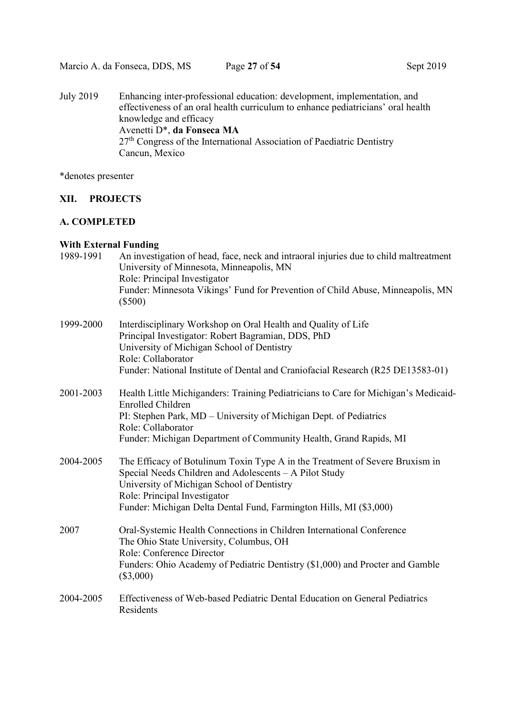27<sup>th</sup> Congress of the International Association of Paediatric Dentistry Cancun, Mexico

\*denotes presenter

## XII. PROJECTS

## A. COMPLETED

## With External Funding

| 1989-1991 | An investigation of head, face, neck and intraoral injuries due to child maltreatment<br>University of Minnesota, Minneapolis, MN<br>Role: Principal Investigator<br>Funder: Minnesota Vikings' Fund for Prevention of Child Abuse, Minneapolis, MN<br>$(\$500)$                           |
|-----------|--------------------------------------------------------------------------------------------------------------------------------------------------------------------------------------------------------------------------------------------------------------------------------------------|
| 1999-2000 | Interdisciplinary Workshop on Oral Health and Quality of Life<br>Principal Investigator: Robert Bagramian, DDS, PhD<br>University of Michigan School of Dentistry<br>Role: Collaborator<br>Funder: National Institute of Dental and Craniofacial Research (R25 DE13583-01)                 |
| 2001-2003 | Health Little Michiganders: Training Pediatricians to Care for Michigan's Medicaid-<br><b>Enrolled Children</b><br>PI: Stephen Park, MD - University of Michigan Dept. of Pediatrics<br>Role: Collaborator<br>Funder: Michigan Department of Community Health, Grand Rapids, MI            |
| 2004-2005 | The Efficacy of Botulinum Toxin Type A in the Treatment of Severe Bruxism in<br>Special Needs Children and Adolescents - A Pilot Study<br>University of Michigan School of Dentistry<br>Role: Principal Investigator<br>Funder: Michigan Delta Dental Fund, Farmington Hills, MI (\$3,000) |
| 2007      | Oral-Systemic Health Connections in Children International Conference<br>The Ohio State University, Columbus, OH<br>Role: Conference Director<br>Funders: Ohio Academy of Pediatric Dentistry (\$1,000) and Procter and Gamble<br>$(\$3,000)$                                              |
| 2004-2005 | Effectiveness of Web-based Pediatric Dental Education on General Pediatrics<br>Residents                                                                                                                                                                                                   |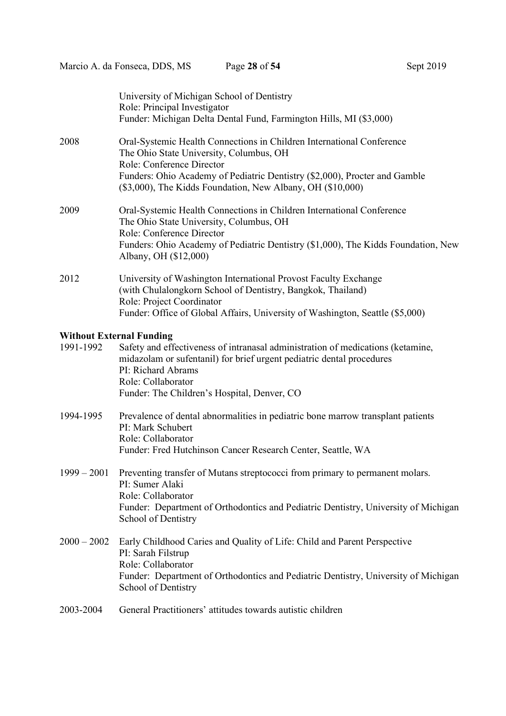|               | University of Michigan School of Dentistry<br>Role: Principal Investigator<br>Funder: Michigan Delta Dental Fund, Farmington Hills, MI (\$3,000)                                                                                                                                          |
|---------------|-------------------------------------------------------------------------------------------------------------------------------------------------------------------------------------------------------------------------------------------------------------------------------------------|
| 2008          | Oral-Systemic Health Connections in Children International Conference<br>The Ohio State University, Columbus, OH<br>Role: Conference Director<br>Funders: Ohio Academy of Pediatric Dentistry (\$2,000), Procter and Gamble<br>(\$3,000), The Kidds Foundation, New Albany, OH (\$10,000) |
| 2009          | Oral-Systemic Health Connections in Children International Conference<br>The Ohio State University, Columbus, OH<br>Role: Conference Director<br>Funders: Ohio Academy of Pediatric Dentistry (\$1,000), The Kidds Foundation, New<br>Albany, OH (\$12,000)                               |
| 2012          | University of Washington International Provost Faculty Exchange<br>(with Chulalongkorn School of Dentistry, Bangkok, Thailand)<br>Role: Project Coordinator<br>Funder: Office of Global Affairs, University of Washington, Seattle (\$5,000)                                              |
|               |                                                                                                                                                                                                                                                                                           |
| 1991-1992     | <b>Without External Funding</b><br>Safety and effectiveness of intranasal administration of medications (ketamine,<br>midazolam or sufentanil) for brief urgent pediatric dental procedures<br>PI: Richard Abrams<br>Role: Collaborator                                                   |
|               | Funder: The Children's Hospital, Denver, CO                                                                                                                                                                                                                                               |
| 1994-1995     | Prevalence of dental abnormalities in pediatric bone marrow transplant patients<br>PI: Mark Schubert<br>Role: Collaborator<br>Funder: Fred Hutchinson Cancer Research Center, Seattle, WA                                                                                                 |
| $1999 - 2001$ | Preventing transfer of Mutans streptococci from primary to permanent molars.<br>PI: Sumer Alaki<br>Role: Collaborator<br>Funder: Department of Orthodontics and Pediatric Dentistry, University of Michigan<br>School of Dentistry                                                        |
| $2000 - 2002$ | Early Childhood Caries and Quality of Life: Child and Parent Perspective<br>PI: Sarah Filstrup<br>Role: Collaborator<br>Funder: Department of Orthodontics and Pediatric Dentistry, University of Michigan<br>School of Dentistry                                                         |
| 2003-2004     | General Practitioners' attitudes towards autistic children                                                                                                                                                                                                                                |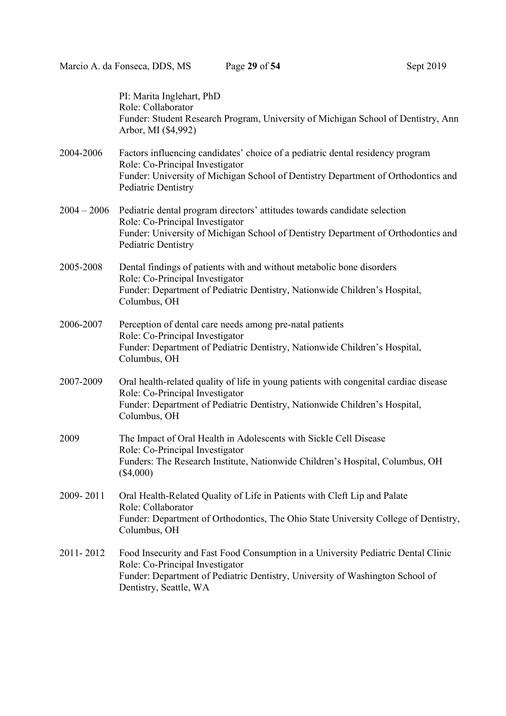|               | PI: Marita Inglehart, PhD<br>Role: Collaborator<br>Funder: Student Research Program, University of Michigan School of Dentistry, Ann<br>Arbor, MI (\$4,992)                                                                     |
|---------------|---------------------------------------------------------------------------------------------------------------------------------------------------------------------------------------------------------------------------------|
| 2004-2006     | Factors influencing candidates' choice of a pediatric dental residency program<br>Role: Co-Principal Investigator<br>Funder: University of Michigan School of Dentistry Department of Orthodontics and<br>Pediatric Dentistry   |
| $2004 - 2006$ | Pediatric dental program directors' attitudes towards candidate selection<br>Role: Co-Principal Investigator<br>Funder: University of Michigan School of Dentistry Department of Orthodontics and<br>Pediatric Dentistry        |
| 2005-2008     | Dental findings of patients with and without metabolic bone disorders<br>Role: Co-Principal Investigator<br>Funder: Department of Pediatric Dentistry, Nationwide Children's Hospital,<br>Columbus, OH                          |
| 2006-2007     | Perception of dental care needs among pre-natal patients<br>Role: Co-Principal Investigator<br>Funder: Department of Pediatric Dentistry, Nationwide Children's Hospital,<br>Columbus, OH                                       |
| 2007-2009     | Oral health-related quality of life in young patients with congenital cardiac disease<br>Role: Co-Principal Investigator<br>Funder: Department of Pediatric Dentistry, Nationwide Children's Hospital,<br>Columbus, OH          |
| 2009          | The Impact of Oral Health in Adolescents with Sickle Cell Disease<br>Role: Co-Principal Investigator<br>Funders: The Research Institute, Nationwide Children's Hospital, Columbus, OH<br>$(\$4,000)$                            |
| 2009-2011     | Oral Health-Related Quality of Life in Patients with Cleft Lip and Palate<br>Role: Collaborator<br>Funder: Department of Orthodontics, The Ohio State University College of Dentistry,<br>Columbus, OH                          |
| 2011-2012     | Food Insecurity and Fast Food Consumption in a University Pediatric Dental Clinic<br>Role: Co-Principal Investigator<br>Funder: Department of Pediatric Dentistry, University of Washington School of<br>Dentistry, Seattle, WA |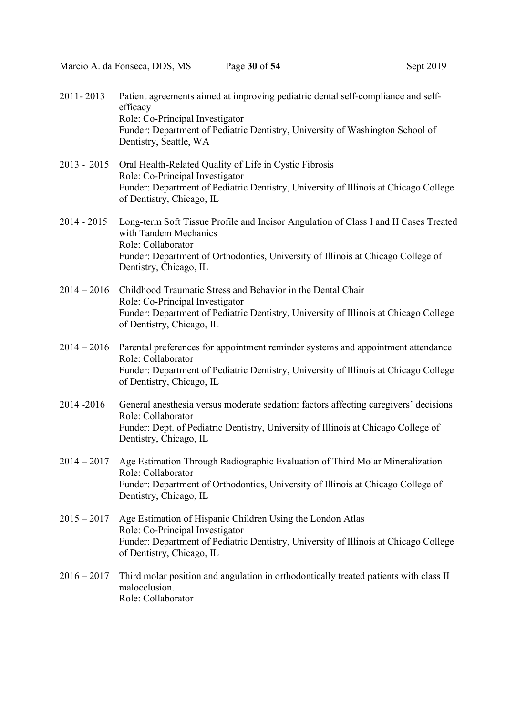| Sept 2019 |  |  |
|-----------|--|--|
|-----------|--|--|

| 2011-2013     | Patient agreements aimed at improving pediatric dental self-compliance and self-<br>efficacy<br>Role: Co-Principal Investigator<br>Funder: Department of Pediatric Dentistry, University of Washington School of<br>Dentistry, Seattle, WA        |
|---------------|---------------------------------------------------------------------------------------------------------------------------------------------------------------------------------------------------------------------------------------------------|
| $2013 - 2015$ | Oral Health-Related Quality of Life in Cystic Fibrosis<br>Role: Co-Principal Investigator<br>Funder: Department of Pediatric Dentistry, University of Illinois at Chicago College<br>of Dentistry, Chicago, IL                                    |
| $2014 - 2015$ | Long-term Soft Tissue Profile and Incisor Angulation of Class I and II Cases Treated<br>with Tandem Mechanics<br>Role: Collaborator<br>Funder: Department of Orthodontics, University of Illinois at Chicago College of<br>Dentistry, Chicago, IL |
| $2014 - 2016$ | Childhood Traumatic Stress and Behavior in the Dental Chair<br>Role: Co-Principal Investigator<br>Funder: Department of Pediatric Dentistry, University of Illinois at Chicago College<br>of Dentistry, Chicago, IL                               |
| $2014 - 2016$ | Parental preferences for appointment reminder systems and appointment attendance<br>Role: Collaborator<br>Funder: Department of Pediatric Dentistry, University of Illinois at Chicago College<br>of Dentistry, Chicago, IL                       |
| 2014-2016     | General anesthesia versus moderate sedation: factors affecting caregivers' decisions<br>Role: Collaborator<br>Funder: Dept. of Pediatric Dentistry, University of Illinois at Chicago College of<br>Dentistry, Chicago, IL                        |
|               | 2014 – 2017 Age Estimation Through Radiographic Evaluation of Third Molar Mineralization<br>Role: Collaborator<br>Funder: Department of Orthodontics, University of Illinois at Chicago College of<br>Dentistry, Chicago, IL                      |
| $2015 - 2017$ | Age Estimation of Hispanic Children Using the London Atlas<br>Role: Co-Principal Investigator<br>Funder: Department of Pediatric Dentistry, University of Illinois at Chicago College<br>of Dentistry, Chicago, IL                                |
| $2016 - 2017$ | Third molar position and angulation in orthodontically treated patients with class II<br>malocclusion.<br>Role: Collaborator                                                                                                                      |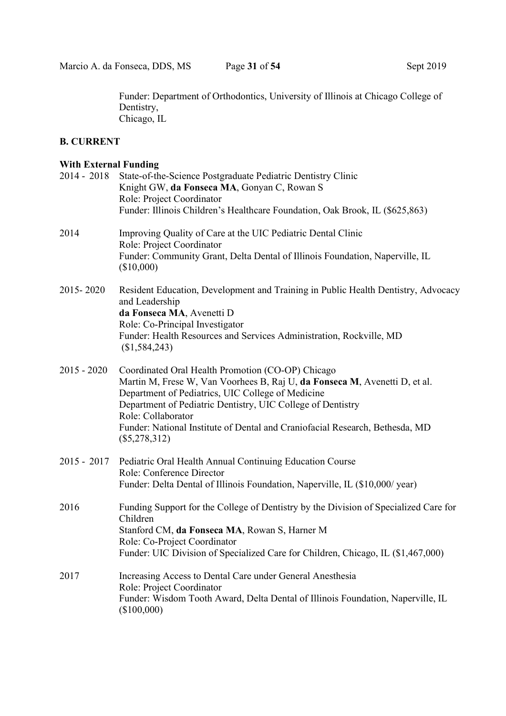Funder: Department of Orthodontics, University of Illinois at Chicago College of Dentistry, Chicago, IL

## B. CURRENT

#### With External Funding

|               | 2014 - 2018 State-of-the-Science Postgraduate Pediatric Dentistry Clinic<br>Knight GW, da Fonseca MA, Gonyan C, Rowan S<br>Role: Project Coordinator<br>Funder: Illinois Children's Healthcare Foundation, Oak Brook, IL (\$625,863)                                                                                                                                         |
|---------------|------------------------------------------------------------------------------------------------------------------------------------------------------------------------------------------------------------------------------------------------------------------------------------------------------------------------------------------------------------------------------|
| 2014          | Improving Quality of Care at the UIC Pediatric Dental Clinic<br>Role: Project Coordinator<br>Funder: Community Grant, Delta Dental of Illinois Foundation, Naperville, IL<br>(\$10,000)                                                                                                                                                                                      |
| 2015-2020     | Resident Education, Development and Training in Public Health Dentistry, Advocacy<br>and Leadership<br>da Fonseca MA, Avenetti D<br>Role: Co-Principal Investigator<br>Funder: Health Resources and Services Administration, Rockville, MD<br>(\$1,584,243)                                                                                                                  |
| $2015 - 2020$ | Coordinated Oral Health Promotion (CO-OP) Chicago<br>Martin M, Frese W, Van Voorhees B, Raj U, da Fonseca M, Avenetti D, et al.<br>Department of Pediatrics, UIC College of Medicine<br>Department of Pediatric Dentistry, UIC College of Dentistry<br>Role: Collaborator<br>Funder: National Institute of Dental and Craniofacial Research, Bethesda, MD<br>$(\$5,278,312)$ |
| $2015 - 2017$ | Pediatric Oral Health Annual Continuing Education Course<br>Role: Conference Director<br>Funder: Delta Dental of Illinois Foundation, Naperville, IL (\$10,000/ year)                                                                                                                                                                                                        |
| 2016          | Funding Support for the College of Dentistry by the Division of Specialized Care for<br>Children<br>Stanford CM, da Fonseca MA, Rowan S, Harner M<br>Role: Co-Project Coordinator<br>Funder: UIC Division of Specialized Care for Children, Chicago, IL (\$1,467,000)                                                                                                        |
| 2017          | Increasing Access to Dental Care under General Anesthesia<br>Role: Project Coordinator<br>Funder: Wisdom Tooth Award, Delta Dental of Illinois Foundation, Naperville, IL<br>$(\$100,000)$                                                                                                                                                                                   |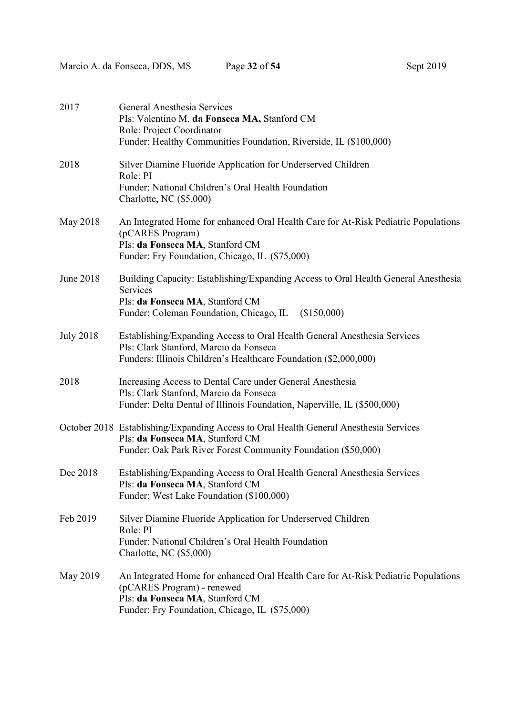| 2017             | General Anesthesia Services<br>PIs: Valentino M, da Fonseca MA, Stanford CM<br>Role: Project Coordinator<br>Funder: Healthy Communities Foundation, Riverside, IL (\$100,000)                         |
|------------------|-------------------------------------------------------------------------------------------------------------------------------------------------------------------------------------------------------|
| 2018             | Silver Diamine Fluoride Application for Underserved Children<br>Role: PI<br>Funder: National Children's Oral Health Foundation<br>Charlotte, NC (\$5,000)                                             |
| May 2018         | An Integrated Home for enhanced Oral Health Care for At-Risk Pediatric Populations<br>(pCARES Program)<br>PIs: da Fonseca MA, Stanford CM<br>Funder: Fry Foundation, Chicago, IL (\$75,000)           |
| June 2018        | Building Capacity: Establishing/Expanding Access to Oral Health General Anesthesia<br>Services<br>PIs: da Fonseca MA, Stanford CM<br>Funder: Coleman Foundation, Chicago, IL<br>(\$150,000)           |
| <b>July 2018</b> | Establishing/Expanding Access to Oral Health General Anesthesia Services<br>PIs: Clark Stanford, Marcio da Fonseca<br>Funders: Illinois Children's Healthcare Foundation (\$2,000,000)                |
| 2018             | Increasing Access to Dental Care under General Anesthesia<br>PIs: Clark Stanford, Marcio da Fonseca<br>Funder: Delta Dental of Illinois Foundation, Naperville, IL (\$500,000)                        |
|                  | October 2018 Establishing/Expanding Access to Oral Health General Anesthesia Services<br>PIs: da Fonseca MA, Stanford CM<br>Funder: Oak Park River Forest Community Foundation (\$50,000)             |
| Dec 2018         | Establishing/Expanding Access to Oral Health General Anesthesia Services<br>PIs: da Fonseca MA, Stanford CM<br>Funder: West Lake Foundation (\$100,000)                                               |
| Feb 2019         | Silver Diamine Fluoride Application for Underserved Children<br>Role: PI<br>Funder: National Children's Oral Health Foundation<br>Charlotte, NC (\$5,000)                                             |
| May 2019         | An Integrated Home for enhanced Oral Health Care for At-Risk Pediatric Populations<br>(pCARES Program) - renewed<br>PIs: da Fonseca MA, Stanford CM<br>Funder: Fry Foundation, Chicago, IL (\$75,000) |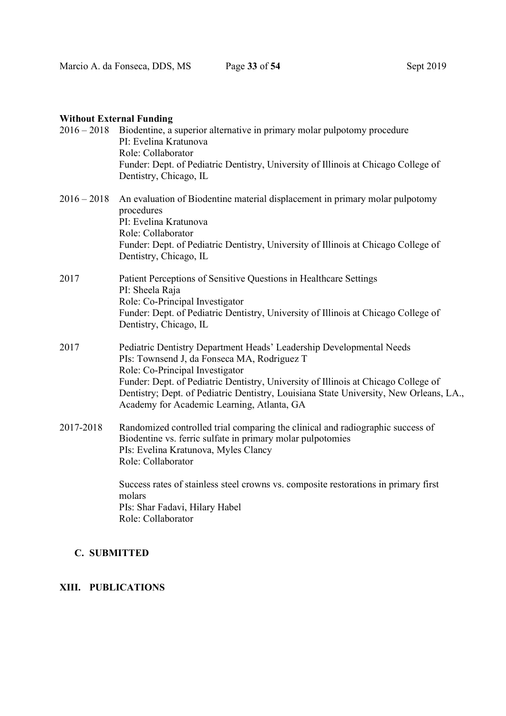|               | $2016 - 2018$ Biodentine, a superior alternative in primary molar pulpotomy procedure<br>PI: Evelina Kratunova<br>Role: Collaborator<br>Funder: Dept. of Pediatric Dentistry, University of Illinois at Chicago College of<br>Dentistry, Chicago, IL                                                                                                                                 |
|---------------|--------------------------------------------------------------------------------------------------------------------------------------------------------------------------------------------------------------------------------------------------------------------------------------------------------------------------------------------------------------------------------------|
| $2016 - 2018$ | An evaluation of Biodentine material displacement in primary molar pulpotomy<br>procedures<br>PI: Evelina Kratunova<br>Role: Collaborator<br>Funder: Dept. of Pediatric Dentistry, University of Illinois at Chicago College of<br>Dentistry, Chicago, IL                                                                                                                            |
| 2017          | Patient Perceptions of Sensitive Questions in Healthcare Settings<br>PI: Sheela Raja<br>Role: Co-Principal Investigator<br>Funder: Dept. of Pediatric Dentistry, University of Illinois at Chicago College of<br>Dentistry, Chicago, IL                                                                                                                                              |
| 2017          | Pediatric Dentistry Department Heads' Leadership Developmental Needs<br>PIs: Townsend J, da Fonseca MA, Rodriguez T<br>Role: Co-Principal Investigator<br>Funder: Dept. of Pediatric Dentistry, University of Illinois at Chicago College of<br>Dentistry; Dept. of Pediatric Dentistry, Louisiana State University, New Orleans, LA.,<br>Academy for Academic Learning, Atlanta, GA |
| 2017-2018     | Randomized controlled trial comparing the clinical and radiographic success of<br>Biodentine vs. ferric sulfate in primary molar pulpotomies<br>PIs: Evelina Kratunova, Myles Clancy<br>Role: Collaborator                                                                                                                                                                           |
|               | Success rates of stainless steel crowns vs. composite restorations in primary first<br>molars<br>PIs: Shar Fadavi, Hilary Habel<br>Role: Collaborator                                                                                                                                                                                                                                |

## C. SUBMITTED

# XIII. PUBLICATIONS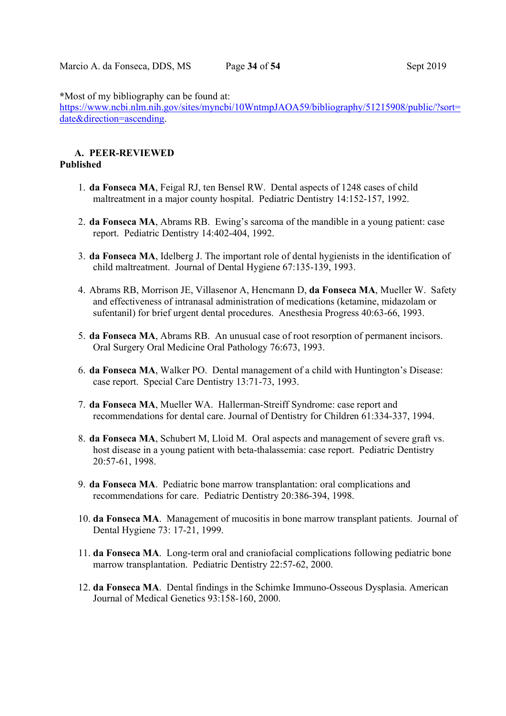\*Most of my bibliography can be found at:

https://www.ncbi.nlm.nih.gov/sites/myncbi/10WntmpJAOA59/bibliography/51215908/public/?sort= date&direction=ascending.

#### A. PEER-REVIEWED Published

- 1. da Fonseca MA, Feigal RJ, ten Bensel RW. Dental aspects of 1248 cases of child maltreatment in a major county hospital. Pediatric Dentistry 14:152-157, 1992.
- 2. da Fonseca MA, Abrams RB. Ewing's sarcoma of the mandible in a young patient: case report. Pediatric Dentistry 14:402-404, 1992.
- 3. da Fonseca MA, Idelberg J. The important role of dental hygienists in the identification of child maltreatment. Journal of Dental Hygiene 67:135-139, 1993.
- 4. Abrams RB, Morrison JE, Villasenor A, Hencmann D, da Fonseca MA, Mueller W. Safety and effectiveness of intranasal administration of medications (ketamine, midazolam or sufentanil) for brief urgent dental procedures. Anesthesia Progress 40:63-66, 1993.
- 5. da Fonseca MA, Abrams RB. An unusual case of root resorption of permanent incisors. Oral Surgery Oral Medicine Oral Pathology 76:673, 1993.
- 6. da Fonseca MA, Walker PO. Dental management of a child with Huntington's Disease: case report. Special Care Dentistry 13:71-73, 1993.
- 7. da Fonseca MA, Mueller WA. Hallerman-Streiff Syndrome: case report and recommendations for dental care. Journal of Dentistry for Children 61:334-337, 1994.
- 8. da Fonseca MA, Schubert M, Lloid M. Oral aspects and management of severe graft vs. host disease in a young patient with beta-thalassemia: case report. Pediatric Dentistry 20:57-61, 1998.
- 9. da Fonseca MA. Pediatric bone marrow transplantation: oral complications and recommendations for care. Pediatric Dentistry 20:386-394, 1998.
- 10. da Fonseca MA. Management of mucositis in bone marrow transplant patients. Journal of Dental Hygiene 73: 17-21, 1999.
- 11. da Fonseca MA. Long-term oral and craniofacial complications following pediatric bone marrow transplantation. Pediatric Dentistry 22:57-62, 2000.
- 12. da Fonseca MA. Dental findings in the Schimke Immuno-Osseous Dysplasia. American Journal of Medical Genetics 93:158-160, 2000.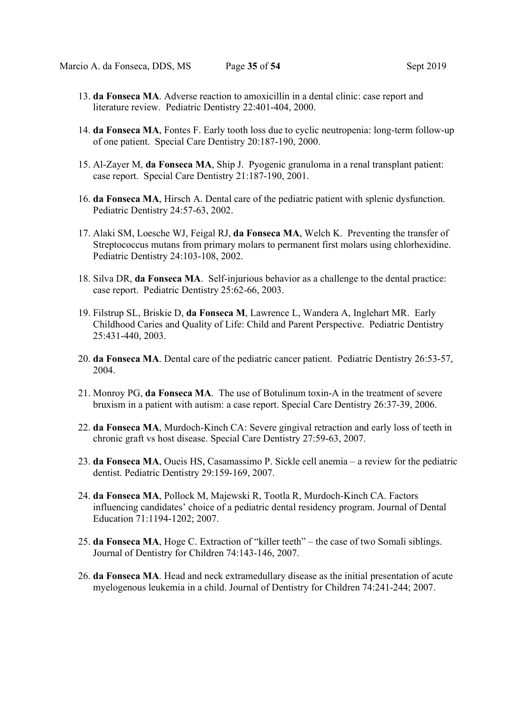- 13. da Fonseca MA. Adverse reaction to amoxicillin in a dental clinic: case report and literature review. Pediatric Dentistry 22:401-404, 2000.
- 14. da Fonseca MA, Fontes F. Early tooth loss due to cyclic neutropenia: long-term follow-up of one patient. Special Care Dentistry 20:187-190, 2000.
- 15. Al-Zayer M, da Fonseca MA, Ship J. Pyogenic granuloma in a renal transplant patient: case report. Special Care Dentistry 21:187-190, 2001.
- 16. da Fonseca MA, Hirsch A. Dental care of the pediatric patient with splenic dysfunction. Pediatric Dentistry 24:57-63, 2002.
- 17. Alaki SM, Loesche WJ, Feigal RJ, da Fonseca MA, Welch K. Preventing the transfer of Streptococcus mutans from primary molars to permanent first molars using chlorhexidine. Pediatric Dentistry 24:103-108, 2002.
- 18. Silva DR, da Fonseca MA. Self-injurious behavior as a challenge to the dental practice: case report. Pediatric Dentistry 25:62-66, 2003.
- 19. Filstrup SL, Briskie D, da Fonseca M, Lawrence L, Wandera A, Inglehart MR. Early Childhood Caries and Quality of Life: Child and Parent Perspective. Pediatric Dentistry 25:431-440, 2003.
- 20. da Fonseca MA. Dental care of the pediatric cancer patient. Pediatric Dentistry 26:53-57, 2004.
- 21. Monroy PG, da Fonseca MA. The use of Botulinum toxin-A in the treatment of severe bruxism in a patient with autism: a case report. Special Care Dentistry 26:37-39, 2006.
- 22. da Fonseca MA, Murdoch-Kinch CA: Severe gingival retraction and early loss of teeth in chronic graft vs host disease. Special Care Dentistry 27:59-63, 2007.
- 23. da Fonseca MA, Oueis HS, Casamassimo P. Sickle cell anemia a review for the pediatric dentist. Pediatric Dentistry 29:159-169, 2007.
- 24. da Fonseca MA, Pollock M, Majewski R, Tootla R, Murdoch-Kinch CA. Factors influencing candidates' choice of a pediatric dental residency program. Journal of Dental Education 71:1194-1202; 2007.
- 25. da Fonseca MA, Hoge C. Extraction of "killer teeth" the case of two Somali siblings. Journal of Dentistry for Children 74:143-146, 2007.
- 26. da Fonseca MA. Head and neck extramedullary disease as the initial presentation of acute myelogenous leukemia in a child. Journal of Dentistry for Children 74:241-244; 2007.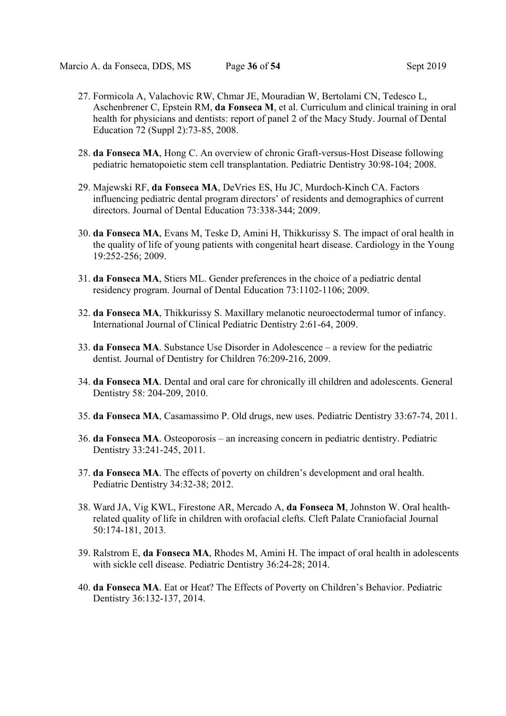- 27. Formicola A, Valachovic RW, Chmar JE, Mouradian W, Bertolami CN, Tedesco L, Aschenbrener C, Epstein RM, da Fonseca M, et al. Curriculum and clinical training in oral health for physicians and dentists: report of panel 2 of the Macy Study. Journal of Dental Education 72 (Suppl 2):73-85, 2008.
- 28. da Fonseca MA, Hong C. An overview of chronic Graft-versus-Host Disease following pediatric hematopoietic stem cell transplantation. Pediatric Dentistry 30:98-104; 2008.
- 29. Majewski RF, da Fonseca MA, DeVries ES, Hu JC, Murdoch-Kinch CA. Factors influencing pediatric dental program directors' of residents and demographics of current directors. Journal of Dental Education 73:338-344; 2009.
- 30. da Fonseca MA, Evans M, Teske D, Amini H, Thikkurissy S. The impact of oral health in the quality of life of young patients with congenital heart disease. Cardiology in the Young 19:252-256; 2009.
- 31. da Fonseca MA, Stiers ML. Gender preferences in the choice of a pediatric dental residency program. Journal of Dental Education 73:1102-1106; 2009.
- 32. da Fonseca MA, Thikkurissy S. Maxillary melanotic neuroectodermal tumor of infancy. International Journal of Clinical Pediatric Dentistry 2:61-64, 2009.
- 33. da Fonseca MA. Substance Use Disorder in Adolescence a review for the pediatric dentist. Journal of Dentistry for Children 76:209-216, 2009.
- 34. da Fonseca MA. Dental and oral care for chronically ill children and adolescents. General Dentistry 58: 204-209, 2010.
- 35. da Fonseca MA, Casamassimo P. Old drugs, new uses. Pediatric Dentistry 33:67-74, 2011.
- 36. da Fonseca MA. Osteoporosis an increasing concern in pediatric dentistry. Pediatric Dentistry 33:241-245, 2011.
- 37. da Fonseca MA. The effects of poverty on children's development and oral health. Pediatric Dentistry 34:32-38; 2012.
- 38. Ward JA, Vig KWL, Firestone AR, Mercado A, da Fonseca M, Johnston W. Oral healthrelated quality of life in children with orofacial clefts. Cleft Palate Craniofacial Journal 50:174-181, 2013.
- 39. Ralstrom E, da Fonseca MA, Rhodes M, Amini H. The impact of oral health in adolescents with sickle cell disease. Pediatric Dentistry 36:24-28; 2014.
- 40. da Fonseca MA. Eat or Heat? The Effects of Poverty on Children's Behavior. Pediatric Dentistry 36:132-137, 2014.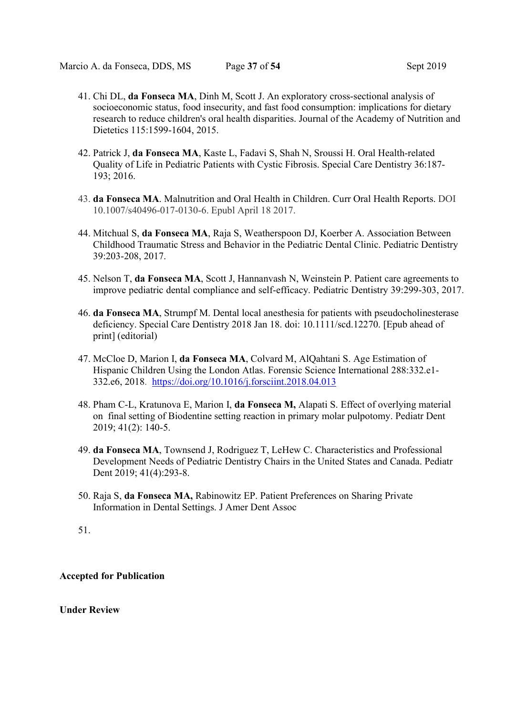Marcio A. da Fonseca, DDS, MS Page 37 of 54 Sept 2019

- 41. Chi DL, da Fonseca MA, Dinh M, Scott J. An exploratory cross-sectional analysis of socioeconomic status, food insecurity, and fast food consumption: implications for dietary research to reduce children's oral health disparities. Journal of the Academy of Nutrition and Dietetics 115:1599-1604, 2015.
- 42. Patrick J, da Fonseca MA, Kaste L, Fadavi S, Shah N, Sroussi H. Oral Health-related Quality of Life in Pediatric Patients with Cystic Fibrosis. Special Care Dentistry 36:187- 193; 2016.
- 43. da Fonseca MA. Malnutrition and Oral Health in Children. Curr Oral Health Reports. DOI 10.1007/s40496-017-0130-6. Epubl April 18 2017.
- 44. Mitchual S, da Fonseca MA, Raja S, Weatherspoon DJ, Koerber A. Association Between Childhood Traumatic Stress and Behavior in the Pediatric Dental Clinic. Pediatric Dentistry 39:203-208, 2017.
- 45. Nelson T, da Fonseca MA, Scott J, Hannanvash N, Weinstein P. Patient care agreements to improve pediatric dental compliance and self-efficacy. Pediatric Dentistry 39:299-303, 2017.
- 46. da Fonseca MA, Strumpf M. Dental local anesthesia for patients with pseudocholinesterase deficiency. Special Care Dentistry 2018 Jan 18. doi: 10.1111/scd.12270. [Epub ahead of print] (editorial)
- 47. McCloe D, Marion I, da Fonseca MA, Colvard M, AlQahtani S. Age Estimation of Hispanic Children Using the London Atlas. Forensic Science International 288:332.e1- 332.e6, 2018. https://doi.org/10.1016/j.forsciint.2018.04.013
- 48. Pham C-L, Kratunova E, Marion I, da Fonseca M, Alapati S. Effect of overlying material on final setting of Biodentine setting reaction in primary molar pulpotomy. Pediatr Dent 2019; 41(2): 140-5.
- 49. da Fonseca MA, Townsend J, Rodriguez T, LeHew C. Characteristics and Professional Development Needs of Pediatric Dentistry Chairs in the United States and Canada. Pediatr Dent 2019; 41(4):293-8.
- 50. Raja S, da Fonseca MA, Rabinowitz EP. Patient Preferences on Sharing Private Information in Dental Settings. J Amer Dent Assoc

## Accepted for Publication

## Under Review

<sup>51.</sup>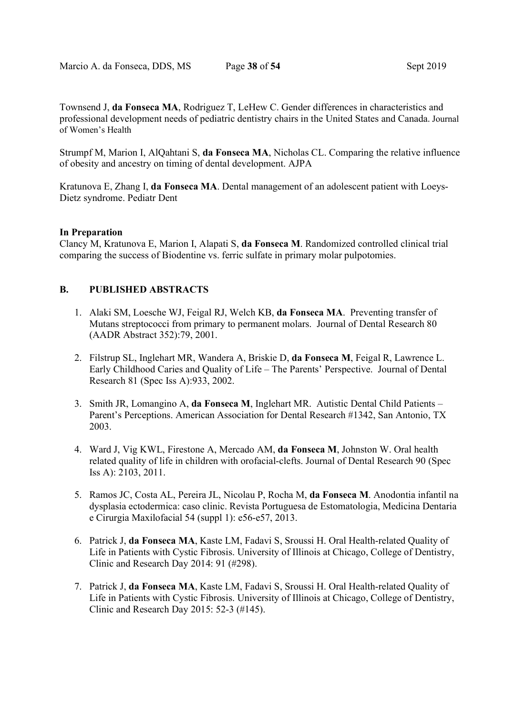Townsend J, da Fonseca MA, Rodriguez T, LeHew C. Gender differences in characteristics and professional development needs of pediatric dentistry chairs in the United States and Canada. Journal of Women's Health

Strumpf M, Marion I, AlQahtani S, da Fonseca MA, Nicholas CL. Comparing the relative influence of obesity and ancestry on timing of dental development. AJPA

Kratunova E, Zhang I, da Fonseca MA. Dental management of an adolescent patient with Loeys-Dietz syndrome. Pediatr Dent

#### In Preparation

Clancy M, Kratunova E, Marion I, Alapati S, da Fonseca M. Randomized controlled clinical trial comparing the success of Biodentine vs. ferric sulfate in primary molar pulpotomies.

## B. PUBLISHED ABSTRACTS

- 1. Alaki SM, Loesche WJ, Feigal RJ, Welch KB, da Fonseca MA. Preventing transfer of Mutans streptococci from primary to permanent molars. Journal of Dental Research 80 (AADR Abstract 352):79, 2001.
- 2. Filstrup SL, Inglehart MR, Wandera A, Briskie D, da Fonseca M, Feigal R, Lawrence L. Early Childhood Caries and Quality of Life – The Parents' Perspective. Journal of Dental Research 81 (Spec Iss A):933, 2002.
- 3. Smith JR, Lomangino A, da Fonseca M, Inglehart MR. Autistic Dental Child Patients Parent's Perceptions. American Association for Dental Research #1342, San Antonio, TX 2003.
- 4. Ward J, Vig KWL, Firestone A, Mercado AM, da Fonseca M, Johnston W. Oral health related quality of life in children with orofacial-clefts. Journal of Dental Research 90 (Spec Iss A): 2103, 2011.
- 5. Ramos JC, Costa AL, Pereira JL, Nicolau P, Rocha M, da Fonseca M. Anodontia infantil na dysplasia ectodermica: caso clinic. Revista Portuguesa de Estomatologia, Medicina Dentaria e Cirurgia Maxilofacial 54 (suppl 1): e56-e57, 2013.
- 6. Patrick J, da Fonseca MA, Kaste LM, Fadavi S, Sroussi H. Oral Health-related Quality of Life in Patients with Cystic Fibrosis. University of Illinois at Chicago, College of Dentistry, Clinic and Research Day 2014: 91 (#298).
- 7. Patrick J, da Fonseca MA, Kaste LM, Fadavi S, Sroussi H. Oral Health-related Quality of Life in Patients with Cystic Fibrosis. University of Illinois at Chicago, College of Dentistry, Clinic and Research Day 2015: 52-3 (#145).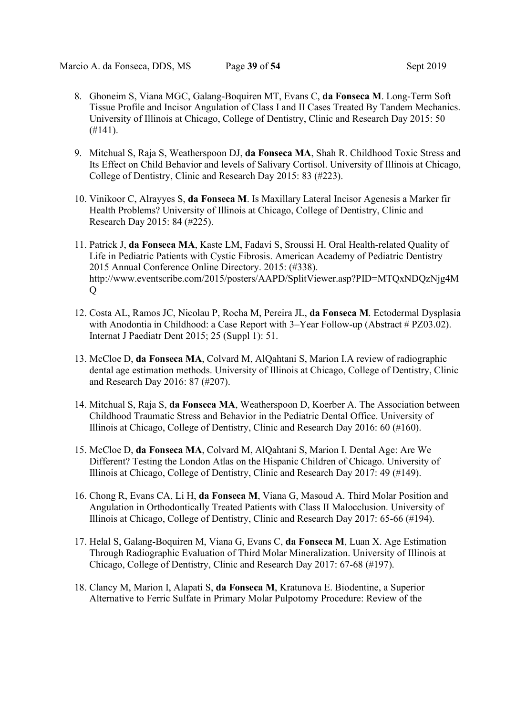- 8. Ghoneim S, Viana MGC, Galang-Boquiren MT, Evans C, da Fonseca M. Long-Term Soft Tissue Profile and Incisor Angulation of Class I and II Cases Treated By Tandem Mechanics. University of Illinois at Chicago, College of Dentistry, Clinic and Research Day 2015: 50  $(H141).$
- 9. Mitchual S, Raja S, Weatherspoon DJ, da Fonseca MA, Shah R. Childhood Toxic Stress and Its Effect on Child Behavior and levels of Salivary Cortisol. University of Illinois at Chicago, College of Dentistry, Clinic and Research Day 2015: 83 (#223).
- 10. Vinikoor C, Alrayyes S, da Fonseca M. Is Maxillary Lateral Incisor Agenesis a Marker fir Health Problems? University of Illinois at Chicago, College of Dentistry, Clinic and Research Day 2015: 84 (#225).
- 11. Patrick J, da Fonseca MA, Kaste LM, Fadavi S, Sroussi H. Oral Health-related Quality of Life in Pediatric Patients with Cystic Fibrosis. American Academy of Pediatric Dentistry 2015 Annual Conference Online Directory. 2015: (#338). http://www.eventscribe.com/2015/posters/AAPD/SplitViewer.asp?PID=MTQxNDQzNjg4M Q
- 12. Costa AL, Ramos JC, Nicolau P, Rocha M, Pereira JL, da Fonseca M. Ectodermal Dysplasia with Anodontia in Childhood: a Case Report with 3–Year Follow-up (Abstract # PZ03.02). Internat J Paediatr Dent 2015; 25 (Suppl 1): 51.
- 13. McCloe D, da Fonseca MA, Colvard M, AlQahtani S, Marion I.A review of radiographic dental age estimation methods. University of Illinois at Chicago, College of Dentistry, Clinic and Research Day 2016: 87 (#207).
- 14. Mitchual S, Raja S, da Fonseca MA, Weatherspoon D, Koerber A. The Association between Childhood Traumatic Stress and Behavior in the Pediatric Dental Office. University of Illinois at Chicago, College of Dentistry, Clinic and Research Day 2016: 60 (#160).
- 15. McCloe D, da Fonseca MA, Colvard M, AlQahtani S, Marion I. Dental Age: Are We Different? Testing the London Atlas on the Hispanic Children of Chicago. University of Illinois at Chicago, College of Dentistry, Clinic and Research Day 2017: 49 (#149).
- 16. Chong R, Evans CA, Li H, da Fonseca M, Viana G, Masoud A. Third Molar Position and Angulation in Orthodontically Treated Patients with Class II Malocclusion. University of Illinois at Chicago, College of Dentistry, Clinic and Research Day 2017: 65-66 (#194).
- 17. Helal S, Galang-Boquiren M, Viana G, Evans C, da Fonseca M, Luan X. Age Estimation Through Radiographic Evaluation of Third Molar Mineralization. University of Illinois at Chicago, College of Dentistry, Clinic and Research Day 2017: 67-68 (#197).
- 18. Clancy M, Marion I, Alapati S, da Fonseca M, Kratunova E. Biodentine, a Superior Alternative to Ferric Sulfate in Primary Molar Pulpotomy Procedure: Review of the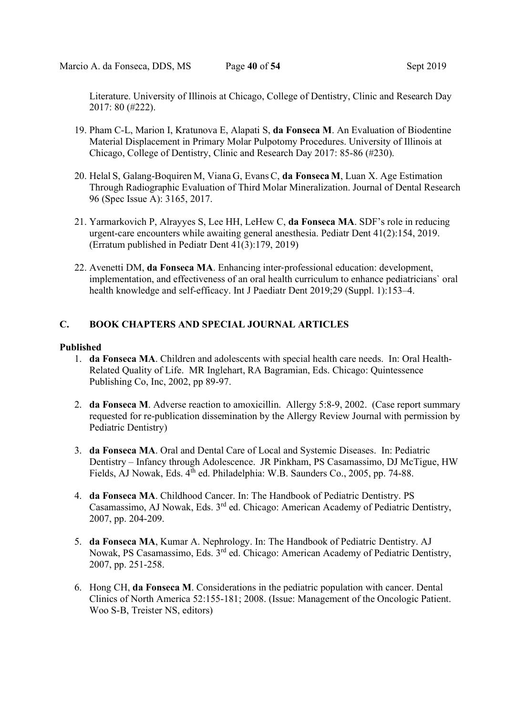Literature. University of Illinois at Chicago, College of Dentistry, Clinic and Research Day 2017: 80 (#222).

- 19. Pham C-L, Marion I, Kratunova E, Alapati S, da Fonseca M. An Evaluation of Biodentine Material Displacement in Primary Molar Pulpotomy Procedures. University of Illinois at Chicago, College of Dentistry, Clinic and Research Day 2017: 85-86 (#230).
- 20. Helal S, Galang-Boquiren M, Viana G, Evans C, da Fonseca M, Luan X. Age Estimation Through Radiographic Evaluation of Third Molar Mineralization. Journal of Dental Research 96 (Spec Issue A): 3165, 2017.
- 21. Yarmarkovich P, Alrayyes S, Lee HH, LeHew C, da Fonseca MA. SDF's role in reducing urgent-care encounters while awaiting general anesthesia. Pediatr Dent 41(2):154, 2019. (Erratum published in Pediatr Dent 41(3):179, 2019)
- 22. Avenetti DM, da Fonseca MA. Enhancing inter‐professional education: development, implementation, and effectiveness of an oral health curriculum to enhance pediatricians` oral health knowledge and self-efficacy. Int J Paediatr Dent 2019;29 (Suppl. 1):153–4.

## C. BOOK CHAPTERS AND SPECIAL JOURNAL ARTICLES

#### Published

- 1. da Fonseca MA. Children and adolescents with special health care needs. In: Oral Health-Related Quality of Life. MR Inglehart, RA Bagramian, Eds. Chicago: Quintessence Publishing Co, Inc, 2002, pp 89-97.
- 2. da Fonseca M. Adverse reaction to amoxicillin. Allergy 5:8-9, 2002. (Case report summary requested for re-publication dissemination by the Allergy Review Journal with permission by Pediatric Dentistry)
- 3. da Fonseca MA. Oral and Dental Care of Local and Systemic Diseases. In: Pediatric Dentistry – Infancy through Adolescence. JR Pinkham, PS Casamassimo, DJ McTigue, HW Fields, AJ Nowak, Eds. 4th ed. Philadelphia: W.B. Saunders Co., 2005, pp. 74-88.
- 4. da Fonseca MA. Childhood Cancer. In: The Handbook of Pediatric Dentistry. PS Casamassimo, AJ Nowak, Eds. 3rd ed. Chicago: American Academy of Pediatric Dentistry, 2007, pp. 204-209.
- 5. da Fonseca MA, Kumar A. Nephrology. In: The Handbook of Pediatric Dentistry. AJ Nowak, PS Casamassimo, Eds. 3rd ed. Chicago: American Academy of Pediatric Dentistry, 2007, pp. 251-258.
- 6. Hong CH, da Fonseca M. Considerations in the pediatric population with cancer. Dental Clinics of North America 52:155-181; 2008. (Issue: Management of the Oncologic Patient. Woo S-B, Treister NS, editors)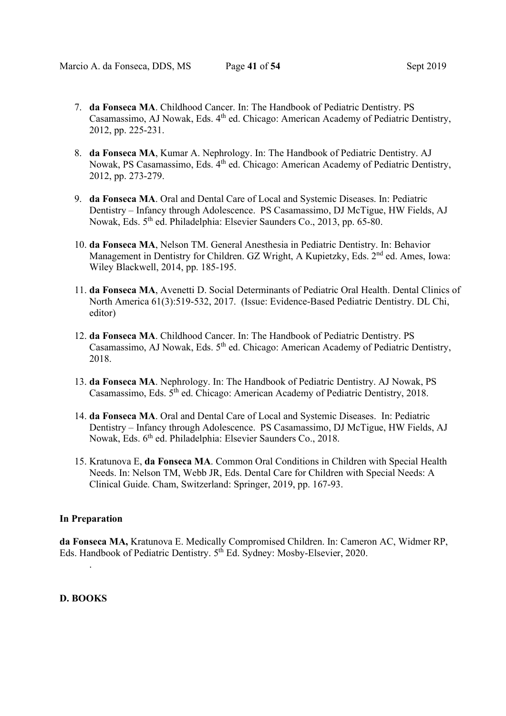- 7. da Fonseca MA. Childhood Cancer. In: The Handbook of Pediatric Dentistry. PS Casamassimo, AJ Nowak, Eds. 4th ed. Chicago: American Academy of Pediatric Dentistry, 2012, pp. 225-231.
- 8. da Fonseca MA, Kumar A. Nephrology. In: The Handbook of Pediatric Dentistry. AJ Nowak, PS Casamassimo, Eds. 4th ed. Chicago: American Academy of Pediatric Dentistry, 2012, pp. 273-279.
- 9. da Fonseca MA. Oral and Dental Care of Local and Systemic Diseases. In: Pediatric Dentistry – Infancy through Adolescence. PS Casamassimo, DJ McTigue, HW Fields, AJ Nowak, Eds. 5th ed. Philadelphia: Elsevier Saunders Co., 2013, pp. 65-80.
- 10. da Fonseca MA, Nelson TM. General Anesthesia in Pediatric Dentistry. In: Behavior Management in Dentistry for Children. GZ Wright, A Kupietzky, Eds. 2<sup>nd</sup> ed. Ames, Iowa: Wiley Blackwell, 2014, pp. 185-195.
- 11. da Fonseca MA, Avenetti D. Social Determinants of Pediatric Oral Health. Dental Clinics of North America 61(3):519-532, 2017. (Issue: Evidence-Based Pediatric Dentistry. DL Chi, editor)
- 12. da Fonseca MA. Childhood Cancer. In: The Handbook of Pediatric Dentistry. PS Casamassimo, AJ Nowak, Eds. 5<sup>th</sup> ed. Chicago: American Academy of Pediatric Dentistry, 2018.
- 13. da Fonseca MA. Nephrology. In: The Handbook of Pediatric Dentistry. AJ Nowak, PS Casamassimo, Eds.  $5<sup>th</sup>$  ed. Chicago: American Academy of Pediatric Dentistry, 2018.
- 14. da Fonseca MA. Oral and Dental Care of Local and Systemic Diseases. In: Pediatric Dentistry – Infancy through Adolescence. PS Casamassimo, DJ McTigue, HW Fields, AJ Nowak, Eds. 6th ed. Philadelphia: Elsevier Saunders Co., 2018.
- 15. Kratunova E, da Fonseca MA. Common Oral Conditions in Children with Special Health Needs. In: Nelson TM, Webb JR, Eds. Dental Care for Children with Special Needs: A Clinical Guide. Cham, Switzerland: Springer, 2019, pp. 167-93.

#### In Preparation

da Fonseca MA, Kratunova E. Medically Compromised Children. In: Cameron AC, Widmer RP, Eds. Handbook of Pediatric Dentistry. 5th Ed. Sydney: Mosby-Elsevier, 2020.

## D. BOOKS

.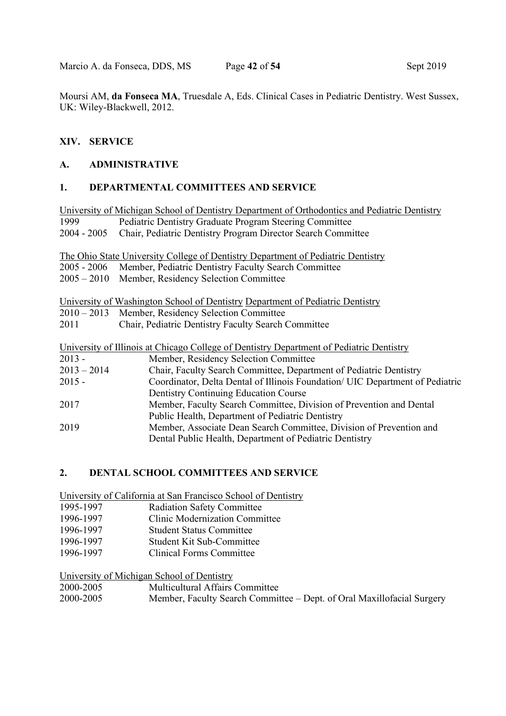Marcio A. da Fonseca, DDS, MS Page 42 of 54 Sept 2019

Moursi AM, da Fonseca MA, Truesdale A, Eds. Clinical Cases in Pediatric Dentistry. West Sussex, UK: Wiley-Blackwell, 2012.

## XIV. SERVICE

## A. ADMINISTRATIVE

## 1. DEPARTMENTAL COMMITTEES AND SERVICE

University of Michigan School of Dentistry Department of Orthodontics and Pediatric Dentistry 1999 Pediatric Dentistry Graduate Program Steering Committee 2004 - 2005 Chair, Pediatric Dentistry Program Director Search Committee

The Ohio State University College of Dentistry Department of Pediatric Dentistry

2005 - 2006 Member, Pediatric Dentistry Faculty Search Committee

2005 – 2010 Member, Residency Selection Committee

University of Washington School of Dentistry Department of Pediatric Dentistry

2010 – 2013 Member, Residency Selection Committee

2011 Chair, Pediatric Dentistry Faculty Search Committee

|               | University of Illinois at Chicago College of Dentistry Department of Pediatric Dentistry |
|---------------|------------------------------------------------------------------------------------------|
| $2013 -$      | Member, Residency Selection Committee                                                    |
| $2013 - 2014$ | Chair, Faculty Search Committee, Department of Pediatric Dentistry                       |
| $2015 -$      | Coordinator, Delta Dental of Illinois Foundation/ UIC Department of Pediatric            |
|               | Dentistry Continuing Education Course                                                    |
| 2017          | Member, Faculty Search Committee, Division of Prevention and Dental                      |
|               | Public Health, Department of Pediatric Dentistry                                         |
| 2019          | Member, Associate Dean Search Committee, Division of Prevention and                      |
|               | Dental Public Health, Department of Pediatric Dentistry                                  |

## 2. DENTAL SCHOOL COMMITTEES AND SERVICE

University of California at San Francisco School of Dentistry

- 1995-1997 Radiation Safety Committee
- 1996-1997 Clinic Modernization Committee
- 1996-1997 Student Status Committee
- 1996-1997 Student Kit Sub-Committee
- 1996-1997 Clinical Forms Committee

University of Michigan School of Dentistry

| 2000-2005 | Multicultural Affairs Committee                                        |
|-----------|------------------------------------------------------------------------|
| 2000-2005 | Member, Faculty Search Committee – Dept. of Oral Maxillofacial Surgery |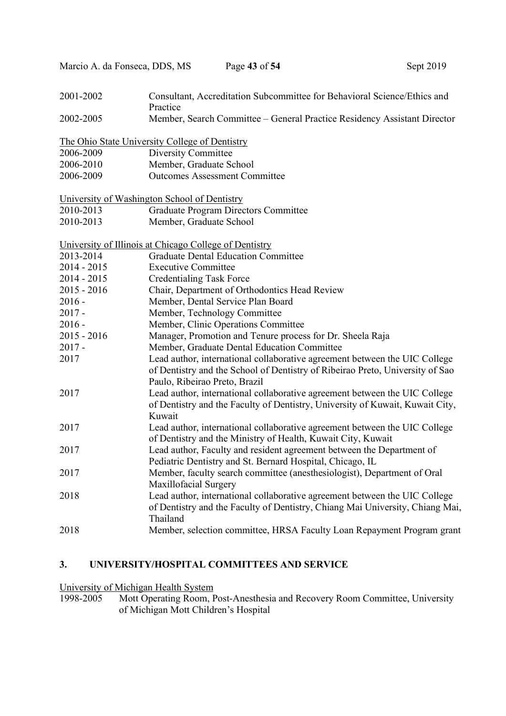| 2001-2002     | Consultant, Accreditation Subcommittee for Behavioral Science/Ethics and<br>Practice                                                                                                         |
|---------------|----------------------------------------------------------------------------------------------------------------------------------------------------------------------------------------------|
| 2002-2005     | Member, Search Committee – General Practice Residency Assistant Director                                                                                                                     |
|               | The Ohio State University College of Dentistry                                                                                                                                               |
| 2006-2009     | Diversity Committee                                                                                                                                                                          |
| 2006-2010     | Member, Graduate School                                                                                                                                                                      |
| 2006-2009     | <b>Outcomes Assessment Committee</b>                                                                                                                                                         |
|               | University of Washington School of Dentistry                                                                                                                                                 |
| 2010-2013     | <b>Graduate Program Directors Committee</b>                                                                                                                                                  |
| 2010-2013     | Member, Graduate School                                                                                                                                                                      |
|               | University of Illinois at Chicago College of Dentistry                                                                                                                                       |
| 2013-2014     | <b>Graduate Dental Education Committee</b>                                                                                                                                                   |
| $2014 - 2015$ | <b>Executive Committee</b>                                                                                                                                                                   |
| $2014 - 2015$ | <b>Credentialing Task Force</b>                                                                                                                                                              |
| $2015 - 2016$ | Chair, Department of Orthodontics Head Review                                                                                                                                                |
| $2016 -$      | Member, Dental Service Plan Board                                                                                                                                                            |
| $2017 -$      | Member, Technology Committee                                                                                                                                                                 |
| $2016 -$      | Member, Clinic Operations Committee                                                                                                                                                          |
| $2015 - 2016$ | Manager, Promotion and Tenure process for Dr. Sheela Raja                                                                                                                                    |
| $2017 -$      | Member, Graduate Dental Education Committee                                                                                                                                                  |
| 2017          | Lead author, international collaborative agreement between the UIC College<br>of Dentistry and the School of Dentistry of Ribeirao Preto, University of Sao<br>Paulo, Ribeirao Preto, Brazil |
| 2017          | Lead author, international collaborative agreement between the UIC College<br>of Dentistry and the Faculty of Dentistry, University of Kuwait, Kuwait City,<br>Kuwait                        |
| 2017          | Lead author, international collaborative agreement between the UIC College<br>of Dentistry and the Ministry of Health, Kuwait City, Kuwait                                                   |
| 2017          | Lead author, Faculty and resident agreement between the Department of<br>Pediatric Dentistry and St. Bernard Hospital, Chicago, IL                                                           |
| 2017          | Member, faculty search committee (anesthesiologist), Department of Oral<br>Maxillofacial Surgery                                                                                             |
| 2018          | Lead author, international collaborative agreement between the UIC College<br>of Dentistry and the Faculty of Dentistry, Chiang Mai University, Chiang Mai,<br>Thailand                      |
| 2018          | Member, selection committee, HRSA Faculty Loan Repayment Program grant                                                                                                                       |

Marcio A. da Fonseca, DDS, MS Page 43 of 54 Sept 2019

## 3. UNIVERSITY/HOSPITAL COMMITTEES AND SERVICE

University of Michigan Health System

1998-2005 Mott Operating Room, Post-Anesthesia and Recovery Room Committee, University of Michigan Mott Children's Hospital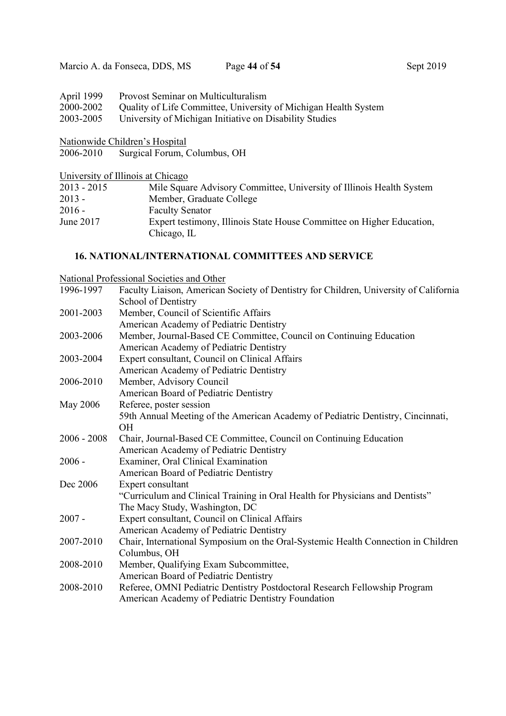| April 1999 Provost Seminar on Multiculturalism                            |
|---------------------------------------------------------------------------|
| 2000-2002 Quality of Life Committee, University of Michigan Health System |
| 2003-2005 University of Michigan Initiative on Disability Studies         |

Nationwide Children's Hospital

2006-2010 Surgical Forum, Columbus, OH

University of Illinois at Chicago

| $2013 - 2015$ | Mile Square Advisory Committee, University of Illinois Health System                 |
|---------------|--------------------------------------------------------------------------------------|
| $2013 -$      | Member, Graduate College                                                             |
| $2016 -$      | <b>Faculty Senator</b>                                                               |
| June 2017     | Expert testimony, Illinois State House Committee on Higher Education,<br>Chicago, IL |

## 16. NATIONAL/INTERNATIONAL COMMITTEES AND SERVICE

National Professional Societies and Other

| 1996-1997     | Faculty Liaison, American Society of Dentistry for Children, University of California |
|---------------|---------------------------------------------------------------------------------------|
|               | School of Dentistry                                                                   |
| 2001-2003     | Member, Council of Scientific Affairs                                                 |
|               | American Academy of Pediatric Dentistry                                               |
| 2003-2006     | Member, Journal-Based CE Committee, Council on Continuing Education                   |
|               | American Academy of Pediatric Dentistry                                               |
| 2003-2004     | Expert consultant, Council on Clinical Affairs                                        |
|               | American Academy of Pediatric Dentistry                                               |
| 2006-2010     | Member, Advisory Council                                                              |
|               | American Board of Pediatric Dentistry                                                 |
| May 2006      | Referee, poster session                                                               |
|               | 59th Annual Meeting of the American Academy of Pediatric Dentistry, Cincinnati,       |
|               | <b>OH</b>                                                                             |
| $2006 - 2008$ | Chair, Journal-Based CE Committee, Council on Continuing Education                    |
|               | American Academy of Pediatric Dentistry                                               |
| $2006 -$      | Examiner, Oral Clinical Examination                                                   |
|               | American Board of Pediatric Dentistry                                                 |
| Dec 2006      | Expert consultant                                                                     |
|               | "Curriculum and Clinical Training in Oral Health for Physicians and Dentists"         |
|               | The Macy Study, Washington, DC                                                        |
| $2007 -$      | Expert consultant, Council on Clinical Affairs                                        |
|               | American Academy of Pediatric Dentistry                                               |
| 2007-2010     | Chair, International Symposium on the Oral-Systemic Health Connection in Children     |
|               | Columbus, OH                                                                          |
| 2008-2010     | Member, Qualifying Exam Subcommittee,                                                 |
|               | American Board of Pediatric Dentistry                                                 |
| 2008-2010     | Referee, OMNI Pediatric Dentistry Postdoctoral Research Fellowship Program            |
|               | American Academy of Pediatric Dentistry Foundation                                    |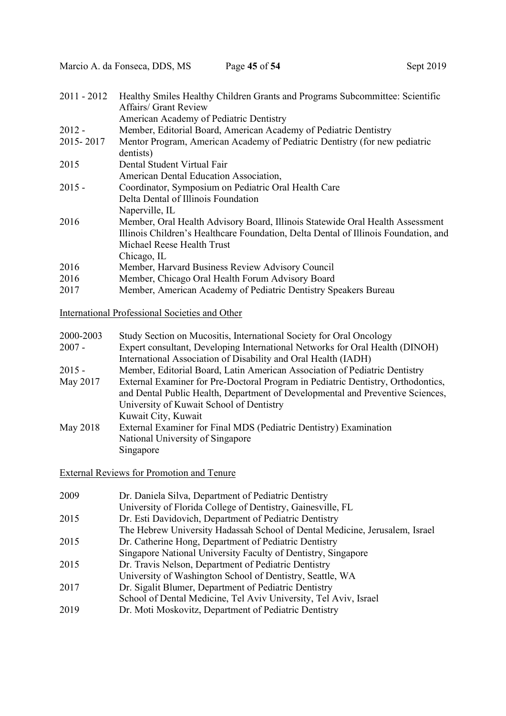| $2011 - 2012$ | Healthy Smiles Healthy Children Grants and Programs Subcommittee: Scientific        |
|---------------|-------------------------------------------------------------------------------------|
|               | Affairs/ Grant Review                                                               |
|               | American Academy of Pediatric Dentistry                                             |
| $2012 -$      | Member, Editorial Board, American Academy of Pediatric Dentistry                    |
| 2015-2017     | Mentor Program, American Academy of Pediatric Dentistry (for new pediatric          |
|               | dentists)                                                                           |
| 2015          | Dental Student Virtual Fair                                                         |
|               | American Dental Education Association,                                              |
| $2015 -$      | Coordinator, Symposium on Pediatric Oral Health Care                                |
|               | Delta Dental of Illinois Foundation                                                 |
|               | Naperville, IL                                                                      |
| 2016          | Member, Oral Health Advisory Board, Illinois Statewide Oral Health Assessment       |
|               | Illinois Children's Healthcare Foundation, Delta Dental of Illinois Foundation, and |
|               | Michael Reese Health Trust                                                          |
|               | Chicago, IL                                                                         |
| 2016          | Member, Harvard Business Review Advisory Council                                    |
| 2016          | Member, Chicago Oral Health Forum Advisory Board                                    |
| 2017          | Member, American Academy of Pediatric Dentistry Speakers Bureau                     |
|               |                                                                                     |

International Professional Societies and Other

| 2000-2003 | Study Section on Mucositis, International Society for Oral Oncology              |
|-----------|----------------------------------------------------------------------------------|
| $2007 -$  | Expert consultant, Developing International Networks for Oral Health (DINOH)     |
|           | International Association of Disability and Oral Health (IADH)                   |
| $2015 -$  | Member, Editorial Board, Latin American Association of Pediatric Dentistry       |
| May 2017  | External Examiner for Pre-Doctoral Program in Pediatric Dentistry, Orthodontics, |
|           | and Dental Public Health, Department of Developmental and Preventive Sciences,   |
|           | University of Kuwait School of Dentistry                                         |
|           | Kuwait City, Kuwait                                                              |
| May 2018  | External Examiner for Final MDS (Pediatric Dentistry) Examination                |
|           | National University of Singapore                                                 |
|           | Singapore                                                                        |
|           |                                                                                  |

External Reviews for Promotion and Tenure

| 2009 | Dr. Daniela Silva, Department of Pediatric Dentistry                        |
|------|-----------------------------------------------------------------------------|
|      | University of Florida College of Dentistry, Gainesville, FL                 |
| 2015 | Dr. Esti Davidovich, Department of Pediatric Dentistry                      |
|      | The Hebrew University Hadassah School of Dental Medicine, Jerusalem, Israel |
| 2015 | Dr. Catherine Hong, Department of Pediatric Dentistry                       |
|      | Singapore National University Faculty of Dentistry, Singapore               |
| 2015 | Dr. Travis Nelson, Department of Pediatric Dentistry                        |
|      | University of Washington School of Dentistry, Seattle, WA                   |
| 2017 | Dr. Sigalit Blumer, Department of Pediatric Dentistry                       |
|      | School of Dental Medicine, Tel Aviv University, Tel Aviv, Israel            |
| 2019 | Dr. Moti Moskovitz, Department of Pediatric Dentistry                       |
|      |                                                                             |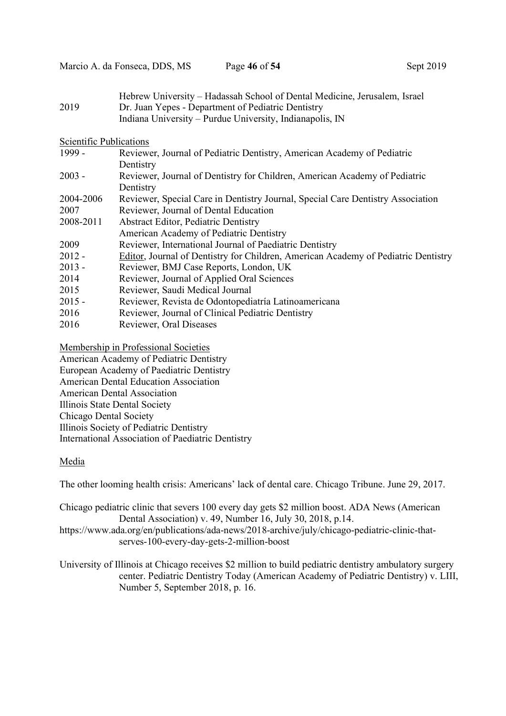Marcio A. da Fonseca, DDS, MS Page 46 of 54 Sept 2019

| 2019                    | Hebrew University – Hadassah School of Dental Medicine, Jerusalem, Israel<br>Dr. Juan Yepes - Department of Pediatric Dentistry |
|-------------------------|---------------------------------------------------------------------------------------------------------------------------------|
|                         | Indiana University - Purdue University, Indianapolis, IN                                                                        |
| Scientific Publications |                                                                                                                                 |
| 1999 -                  | Reviewer, Journal of Pediatric Dentistry, American Academy of Pediatric                                                         |
|                         | Dentistry                                                                                                                       |
| $2003 -$                | Reviewer, Journal of Dentistry for Children, American Academy of Pediatric                                                      |
|                         | Dentistry                                                                                                                       |
| 2004-2006               | Reviewer, Special Care in Dentistry Journal, Special Care Dentistry Association                                                 |
| 2007                    | Reviewer, Journal of Dental Education                                                                                           |
| 2008-2011               | <b>Abstract Editor, Pediatric Dentistry</b>                                                                                     |
|                         | American Academy of Pediatric Dentistry                                                                                         |
| 2009                    | Reviewer, International Journal of Paediatric Dentistry                                                                         |
| $2012 -$                | Editor, Journal of Dentistry for Children, American Academy of Pediatric Dentistry                                              |

- 2013 Reviewer, BMJ Case Reports, London, UK
- 2014 Reviewer, Journal of Applied Oral Sciences
- 2015 Reviewer, Saudi Medical Journal
- 2015 Reviewer, Revista de Odontopediatría Latinoamericana
- 2016 Reviewer, Journal of Clinical Pediatric Dentistry
- 2016 Reviewer, Oral Diseases

Membership in Professional Societies

American Academy of Pediatric Dentistry European Academy of Paediatric Dentistry American Dental Education Association American Dental Association Illinois State Dental Society Chicago Dental Society Illinois Society of Pediatric Dentistry International Association of Paediatric Dentistry

## Media

The other looming health crisis: Americans' lack of dental care. Chicago Tribune. June 29, 2017.

Chicago pediatric clinic that severs 100 every day gets \$2 million boost. ADA News (American Dental Association) v. 49, Number 16, July 30, 2018, p.14.

https://www.ada.org/en/publications/ada-news/2018-archive/july/chicago-pediatric-clinic-thatserves-100-every-day-gets-2-million-boost

University of Illinois at Chicago receives \$2 million to build pediatric dentistry ambulatory surgery center. Pediatric Dentistry Today (American Academy of Pediatric Dentistry) v. LIII, Number 5, September 2018, p. 16.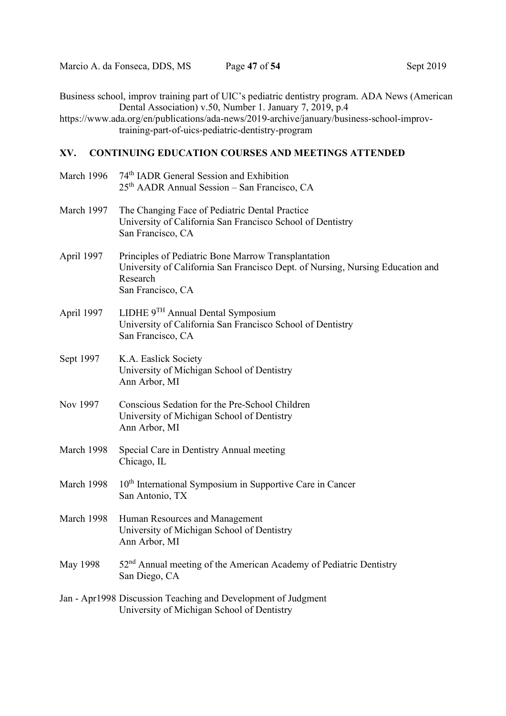Business school, improv training part of UIC's pediatric dentistry program. ADA News (American Dental Association) v.50, Number 1. January 7, 2019, p.4

https://www.ada.org/en/publications/ada-news/2019-archive/january/business-school-improvtraining-part-of-uics-pediatric-dentistry-program

### XV. CONTINUING EDUCATION COURSES AND MEETINGS ATTENDED

| March 1996 | 74 <sup>th</sup> IADR General Session and Exhibition<br>25 <sup>th</sup> AADR Annual Session – San Francisco, CA                                                       |
|------------|------------------------------------------------------------------------------------------------------------------------------------------------------------------------|
| March 1997 | The Changing Face of Pediatric Dental Practice<br>University of California San Francisco School of Dentistry<br>San Francisco, CA                                      |
| April 1997 | Principles of Pediatric Bone Marrow Transplantation<br>University of California San Francisco Dept. of Nursing, Nursing Education and<br>Research<br>San Francisco, CA |
| April 1997 | LIDHE 9TH Annual Dental Symposium<br>University of California San Francisco School of Dentistry<br>San Francisco, CA                                                   |
| Sept 1997  | K.A. Easlick Society<br>University of Michigan School of Dentistry<br>Ann Arbor, MI                                                                                    |
| Nov 1997   | Conscious Sedation for the Pre-School Children<br>University of Michigan School of Dentistry<br>Ann Arbor, MI                                                          |
| March 1998 | Special Care in Dentistry Annual meeting<br>Chicago, IL                                                                                                                |
| March 1998 | 10 <sup>th</sup> International Symposium in Supportive Care in Cancer<br>San Antonio, TX                                                                               |
| March 1998 | Human Resources and Management<br>University of Michigan School of Dentistry<br>Ann Arbor, MI                                                                          |
| May 1998   | 52 <sup>nd</sup> Annual meeting of the American Academy of Pediatric Dentistry<br>San Diego, CA                                                                        |
|            | Jan - Apr1998 Discussion Teaching and Development of Judgment<br>University of Michigan School of Dentistry                                                            |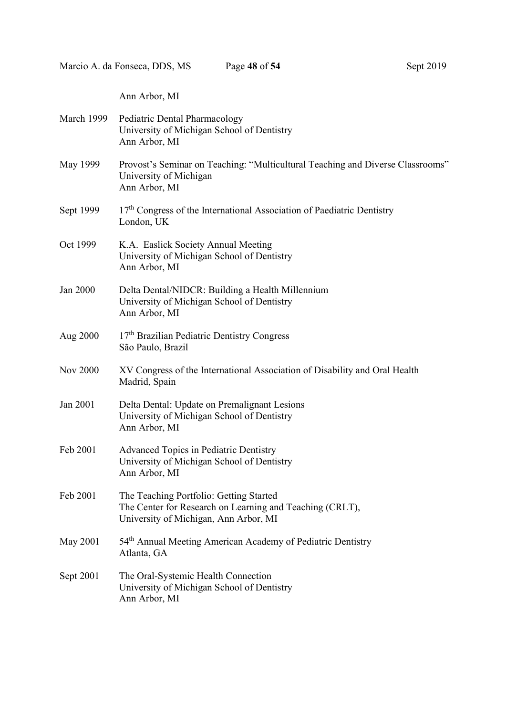Ann Arbor, MI

| March 1999      | Pediatric Dental Pharmacology<br>University of Michigan School of Dentistry<br>Ann Arbor, MI                                                 |
|-----------------|----------------------------------------------------------------------------------------------------------------------------------------------|
| May 1999        | Provost's Seminar on Teaching: "Multicultural Teaching and Diverse Classrooms"<br>University of Michigan<br>Ann Arbor, MI                    |
| Sept 1999       | 17 <sup>th</sup> Congress of the International Association of Paediatric Dentistry<br>London, UK                                             |
| Oct 1999        | K.A. Easlick Society Annual Meeting<br>University of Michigan School of Dentistry<br>Ann Arbor, MI                                           |
| Jan 2000        | Delta Dental/NIDCR: Building a Health Millennium<br>University of Michigan School of Dentistry<br>Ann Arbor, MI                              |
| Aug 2000        | 17 <sup>th</sup> Brazilian Pediatric Dentistry Congress<br>São Paulo, Brazil                                                                 |
| <b>Nov 2000</b> | XV Congress of the International Association of Disability and Oral Health<br>Madrid, Spain                                                  |
| Jan 2001        | Delta Dental: Update on Premalignant Lesions<br>University of Michigan School of Dentistry<br>Ann Arbor, MI                                  |
| Feb 2001        | <b>Advanced Topics in Pediatric Dentistry</b><br>University of Michigan School of Dentistry<br>Ann Arbor, MI                                 |
| Feb 2001        | The Teaching Portfolio: Getting Started<br>The Center for Research on Learning and Teaching (CRLT),<br>University of Michigan, Ann Arbor, MI |
| <b>May 2001</b> | 54th Annual Meeting American Academy of Pediatric Dentistry<br>Atlanta, GA                                                                   |
| Sept 2001       | The Oral-Systemic Health Connection<br>University of Michigan School of Dentistry<br>Ann Arbor, MI                                           |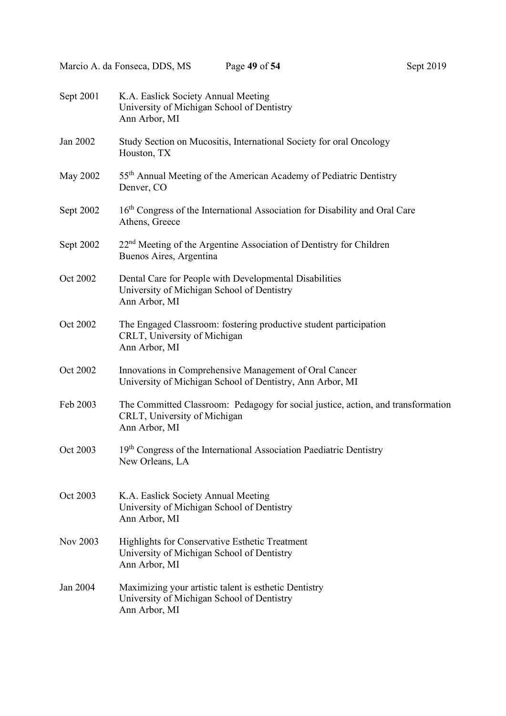| Sept 2001 | K.A. Easlick Society Annual Meeting<br>University of Michigan School of Dentistry<br>Ann Arbor, MI                                |
|-----------|-----------------------------------------------------------------------------------------------------------------------------------|
| Jan 2002  | Study Section on Mucositis, International Society for oral Oncology<br>Houston, TX                                                |
| May 2002  | 55 <sup>th</sup> Annual Meeting of the American Academy of Pediatric Dentistry<br>Denver, CO                                      |
| Sept 2002 | 16 <sup>th</sup> Congress of the International Association for Disability and Oral Care<br>Athens, Greece                         |
| Sept 2002 | $22nd$ Meeting of the Argentine Association of Dentistry for Children<br>Buenos Aires, Argentina                                  |
| Oct 2002  | Dental Care for People with Developmental Disabilities<br>University of Michigan School of Dentistry<br>Ann Arbor, MI             |
| Oct 2002  | The Engaged Classroom: fostering productive student participation<br>CRLT, University of Michigan<br>Ann Arbor, MI                |
| Oct 2002  | Innovations in Comprehensive Management of Oral Cancer<br>University of Michigan School of Dentistry, Ann Arbor, MI               |
| Feb 2003  | The Committed Classroom: Pedagogy for social justice, action, and transformation<br>CRLT, University of Michigan<br>Ann Arbor, MI |
| Oct 2003  | 19 <sup>th</sup> Congress of the International Association Paediatric Dentistry<br>New Orleans, LA                                |
| Oct 2003  | K.A. Easlick Society Annual Meeting<br>University of Michigan School of Dentistry<br>Ann Arbor, MI                                |
| Nov 2003  | <b>Highlights for Conservative Esthetic Treatment</b><br>University of Michigan School of Dentistry<br>Ann Arbor, MI              |
| Jan 2004  | Maximizing your artistic talent is esthetic Dentistry<br>University of Michigan School of Dentistry<br>Ann Arbor, MI              |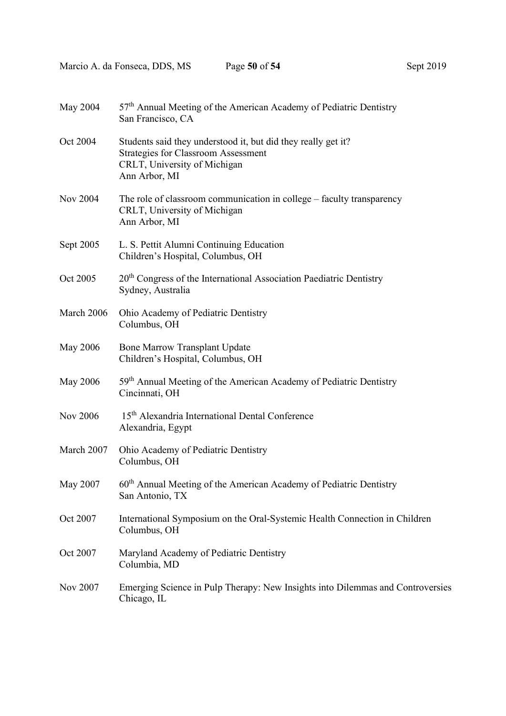Marcio A. da Fonseca, DDS, MS Page 50 of 54 Sept 2019

| May 2004        | 57 <sup>th</sup> Annual Meeting of the American Academy of Pediatric Dentistry<br>San Francisco, CA                                                          |
|-----------------|--------------------------------------------------------------------------------------------------------------------------------------------------------------|
| Oct 2004        | Students said they understood it, but did they really get it?<br><b>Strategies for Classroom Assessment</b><br>CRLT, University of Michigan<br>Ann Arbor, MI |
| <b>Nov 2004</b> | The role of classroom communication in college – faculty transparency<br>CRLT, University of Michigan<br>Ann Arbor, MI                                       |
| Sept 2005       | L. S. Pettit Alumni Continuing Education<br>Children's Hospital, Columbus, OH                                                                                |
| Oct 2005        | 20 <sup>th</sup> Congress of the International Association Paediatric Dentistry<br>Sydney, Australia                                                         |
| March 2006      | Ohio Academy of Pediatric Dentistry<br>Columbus, OH                                                                                                          |
| May 2006        | <b>Bone Marrow Transplant Update</b><br>Children's Hospital, Columbus, OH                                                                                    |
| <b>May 2006</b> | 59 <sup>th</sup> Annual Meeting of the American Academy of Pediatric Dentistry<br>Cincinnati, OH                                                             |
| Nov 2006        | 15 <sup>th</sup> Alexandria International Dental Conference<br>Alexandria, Egypt                                                                             |
| March 2007      | Ohio Academy of Pediatric Dentistry<br>Columbus, OH                                                                                                          |
| May 2007        | 60 <sup>th</sup> Annual Meeting of the American Academy of Pediatric Dentistry<br>San Antonio, TX                                                            |
| Oct 2007        | International Symposium on the Oral-Systemic Health Connection in Children<br>Columbus, OH                                                                   |
| Oct 2007        | Maryland Academy of Pediatric Dentistry<br>Columbia, MD                                                                                                      |
| Nov 2007        | Emerging Science in Pulp Therapy: New Insights into Dilemmas and Controversies<br>Chicago, IL                                                                |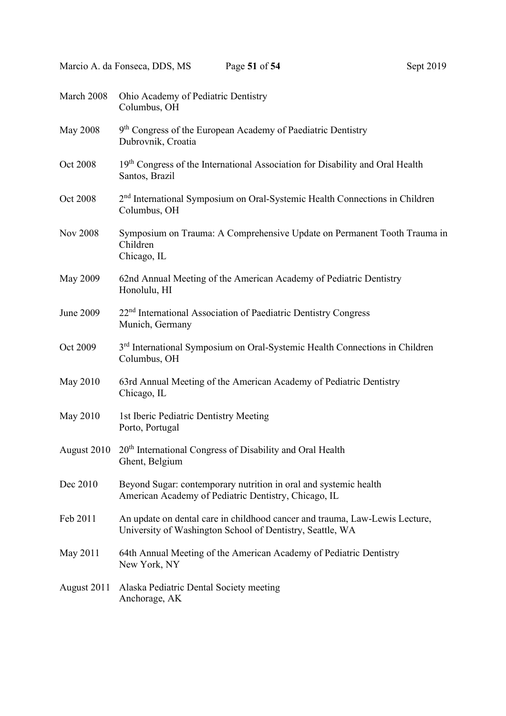| March 2008       | Ohio Academy of Pediatric Dentistry<br>Columbus, OH                                                                                      |
|------------------|------------------------------------------------------------------------------------------------------------------------------------------|
| <b>May 2008</b>  | 9 <sup>th</sup> Congress of the European Academy of Paediatric Dentistry<br>Dubrovnik, Croatia                                           |
| Oct 2008         | 19 <sup>th</sup> Congress of the International Association for Disability and Oral Health<br>Santos, Brazil                              |
| Oct 2008         | 2 <sup>nd</sup> International Symposium on Oral-Systemic Health Connections in Children<br>Columbus, OH                                  |
| <b>Nov 2008</b>  | Symposium on Trauma: A Comprehensive Update on Permanent Tooth Trauma in<br>Children<br>Chicago, IL                                      |
| May 2009         | 62nd Annual Meeting of the American Academy of Pediatric Dentistry<br>Honolulu, HI                                                       |
| <b>June 2009</b> | 22 <sup>nd</sup> International Association of Paediatric Dentistry Congress<br>Munich, Germany                                           |
| Oct 2009         | 3 <sup>rd</sup> International Symposium on Oral-Systemic Health Connections in Children<br>Columbus, OH                                  |
| May 2010         | 63rd Annual Meeting of the American Academy of Pediatric Dentistry<br>Chicago, IL                                                        |
| May 2010         | 1st Iberic Pediatric Dentistry Meeting<br>Porto, Portugal                                                                                |
| August 2010      | $20th$ International Congress of Disability and Oral Health<br>Ghent, Belgium                                                            |
| Dec 2010         | Beyond Sugar: contemporary nutrition in oral and systemic health<br>American Academy of Pediatric Dentistry, Chicago, IL                 |
| Feb 2011         | An update on dental care in childhood cancer and trauma, Law-Lewis Lecture,<br>University of Washington School of Dentistry, Seattle, WA |
| May 2011         | 64th Annual Meeting of the American Academy of Pediatric Dentistry<br>New York, NY                                                       |
| August 2011      | Alaska Pediatric Dental Society meeting<br>Anchorage, AK                                                                                 |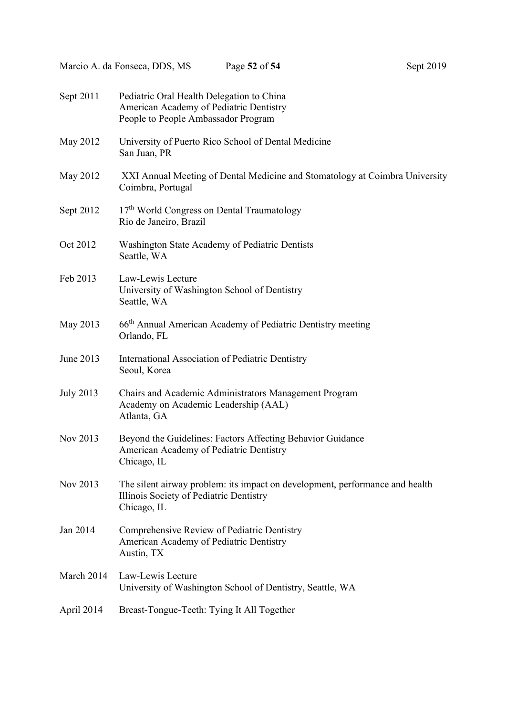| Sept 2011        | Pediatric Oral Health Delegation to China<br>American Academy of Pediatric Dentistry<br>People to People Ambassador Program            |
|------------------|----------------------------------------------------------------------------------------------------------------------------------------|
| May 2012         | University of Puerto Rico School of Dental Medicine<br>San Juan, PR                                                                    |
| May 2012         | XXI Annual Meeting of Dental Medicine and Stomatology at Coimbra University<br>Coimbra, Portugal                                       |
| Sept 2012        | 17 <sup>th</sup> World Congress on Dental Traumatology<br>Rio de Janeiro, Brazil                                                       |
| Oct 2012         | Washington State Academy of Pediatric Dentists<br>Seattle, WA                                                                          |
| Feb 2013         | Law-Lewis Lecture<br>University of Washington School of Dentistry<br>Seattle, WA                                                       |
| May 2013         | 66 <sup>th</sup> Annual American Academy of Pediatric Dentistry meeting<br>Orlando, FL                                                 |
| June 2013        | International Association of Pediatric Dentistry<br>Seoul, Korea                                                                       |
| <b>July 2013</b> | Chairs and Academic Administrators Management Program<br>Academy on Academic Leadership (AAL)<br>Atlanta, GA                           |
| Nov 2013         | Beyond the Guidelines: Factors Affecting Behavior Guidance<br>American Academy of Pediatric Dentistry<br>Chicago, IL                   |
| Nov 2013         | The silent airway problem: its impact on development, performance and health<br>Illinois Society of Pediatric Dentistry<br>Chicago, IL |
| Jan 2014         | Comprehensive Review of Pediatric Dentistry<br>American Academy of Pediatric Dentistry<br>Austin, TX                                   |
| March 2014       | Law-Lewis Lecture<br>University of Washington School of Dentistry, Seattle, WA                                                         |
| April 2014       | Breast-Tongue-Teeth: Tying It All Together                                                                                             |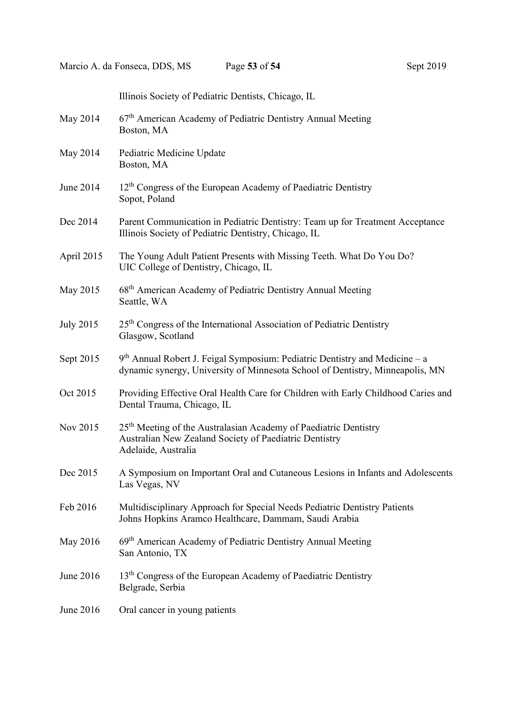Illinois Society of Pediatric Dentists, Chicago, IL May 2014 67<sup>th</sup> American Academy of Pediatric Dentistry Annual Meeting Boston, MA May 2014 Pediatric Medicine Update Boston, MA June 2014 12<sup>th</sup> Congress of the European Academy of Paediatric Dentistry Sopot, Poland Dec 2014 Parent Communication in Pediatric Dentistry: Team up for Treatment Acceptance Illinois Society of Pediatric Dentistry, Chicago, IL April 2015 The Young Adult Patient Presents with Missing Teeth. What Do You Do? UIC College of Dentistry, Chicago, IL May 2015 68<sup>th</sup> American Academy of Pediatric Dentistry Annual Meeting Seattle, WA July 2015 25th Congress of the International Association of Pediatric Dentistry Glasgow, Scotland Sept 2015 9<sup>th</sup> Annual Robert J. Feigal Symposium: Pediatric Dentistry and Medicine – a dynamic synergy, University of Minnesota School of Dentistry, Minneapolis, MN Oct 2015 Providing Effective Oral Health Care for Children with Early Childhood Caries and Dental Trauma, Chicago, IL Nov 2015 25th Meeting of the Australasian Academy of Paediatric Dentistry Australian New Zealand Society of Paediatric Dentistry Adelaide, Australia Dec 2015 A Symposium on Important Oral and Cutaneous Lesions in Infants and Adolescents Las Vegas, NV Feb 2016 Multidisciplinary Approach for Special Needs Pediatric Dentistry Patients Johns Hopkins Aramco Healthcare, Dammam, Saudi Arabia May 2016 69<sup>th</sup> American Academy of Pediatric Dentistry Annual Meeting San Antonio, TX June 2016 13<sup>th</sup> Congress of the European Academy of Paediatric Dentistry Belgrade, Serbia June 2016 Oral cancer in young patients